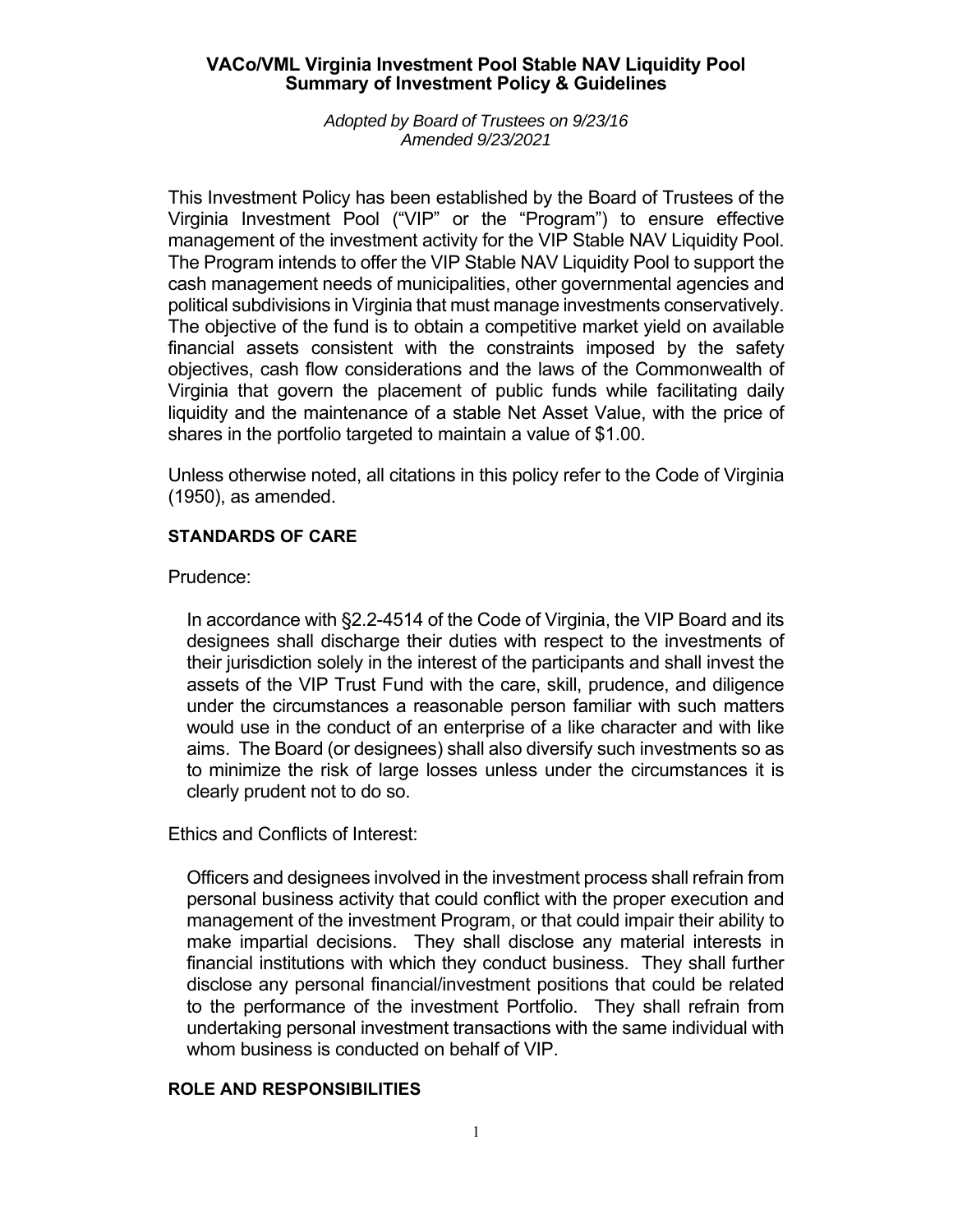### **VACo/VML Virginia Investment Pool Stable NAV Liquidity Pool Summary of Investment Policy & Guidelines**

#### *Adopted by Board of Trustees on 9/23/16 Amended 9/23/2021*

This Investment Policy has been established by the Board of Trustees of the Virginia Investment Pool ("VIP" or the "Program") to ensure effective management of the investment activity for the VIP Stable NAV Liquidity Pool. The Program intends to offer the VIP Stable NAV Liquidity Pool to support the cash management needs of municipalities, other governmental agencies and political subdivisions in Virginia that must manage investments conservatively. The objective of the fund is to obtain a competitive market yield on available financial assets consistent with the constraints imposed by the safety objectives, cash flow considerations and the laws of the Commonwealth of Virginia that govern the placement of public funds while facilitating daily liquidity and the maintenance of a stable Net Asset Value, with the price of shares in the portfolio targeted to maintain a value of \$1.00.

Unless otherwise noted, all citations in this policy refer to the Code of Virginia (1950), as amended.

## **STANDARDS OF CARE**

# Prudence:

In accordance with §2.2-4514 of the Code of Virginia, the VIP Board and its designees shall discharge their duties with respect to the investments of their jurisdiction solely in the interest of the participants and shall invest the assets of the VIP Trust Fund with the care, skill, prudence, and diligence under the circumstances a reasonable person familiar with such matters would use in the conduct of an enterprise of a like character and with like aims. The Board (or designees) shall also diversify such investments so as to minimize the risk of large losses unless under the circumstances it is clearly prudent not to do so.

Ethics and Conflicts of Interest:

Officers and designees involved in the investment process shall refrain from personal business activity that could conflict with the proper execution and management of the investment Program, or that could impair their ability to make impartial decisions. They shall disclose any material interests in financial institutions with which they conduct business. They shall further disclose any personal financial/investment positions that could be related to the performance of the investment Portfolio. They shall refrain from undertaking personal investment transactions with the same individual with whom business is conducted on behalf of VIP.

## **ROLE AND RESPONSIBILITIES**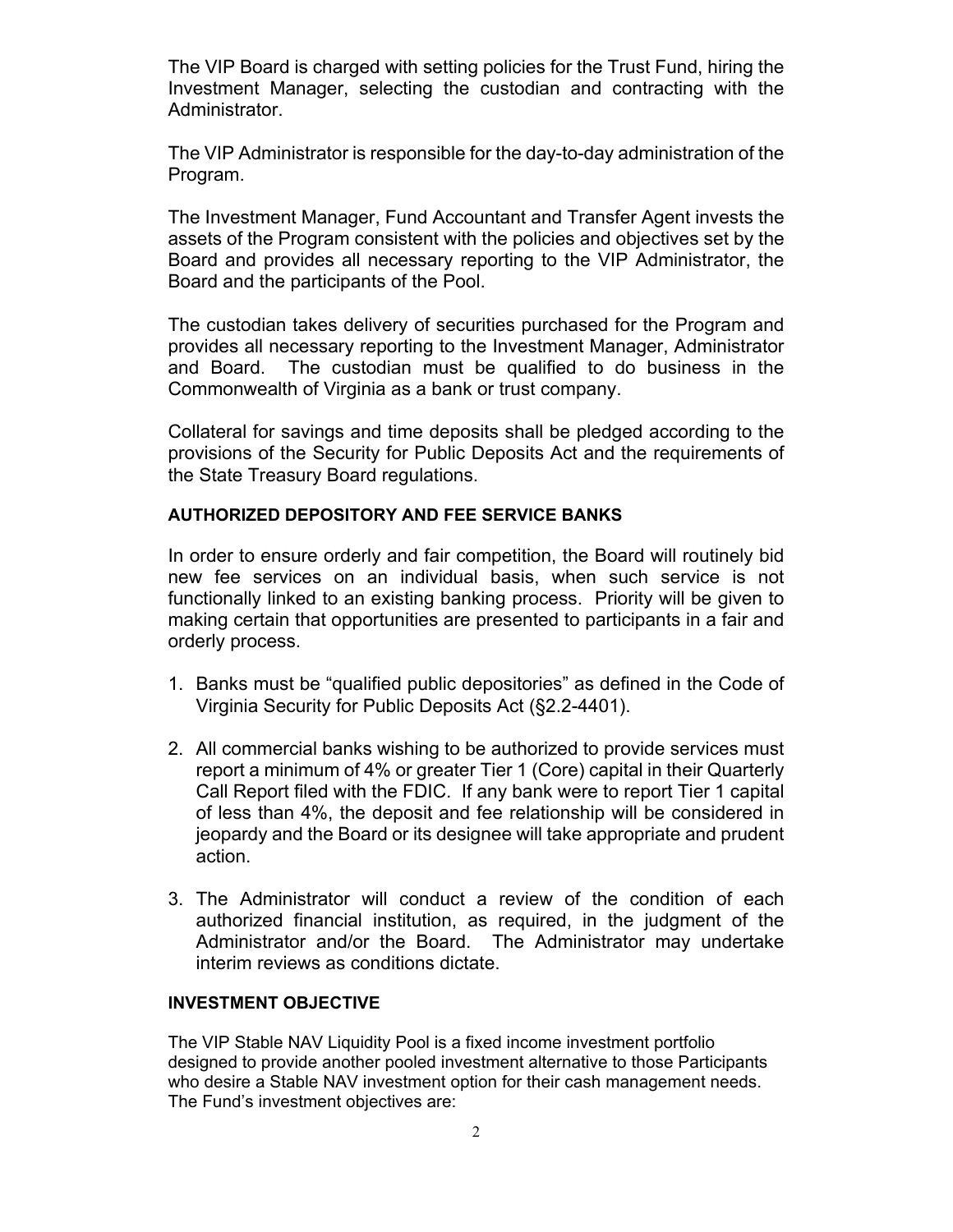The VIP Board is charged with setting policies for the Trust Fund, hiring the Investment Manager, selecting the custodian and contracting with the Administrator.

The VIP Administrator is responsible for the day-to-day administration of the Program.

The Investment Manager, Fund Accountant and Transfer Agent invests the assets of the Program consistent with the policies and objectives set by the Board and provides all necessary reporting to the VIP Administrator, the Board and the participants of the Pool.

The custodian takes delivery of securities purchased for the Program and provides all necessary reporting to the Investment Manager, Administrator and Board. The custodian must be qualified to do business in the Commonwealth of Virginia as a bank or trust company.

Collateral for savings and time deposits shall be pledged according to the provisions of the Security for Public Deposits Act and the requirements of the State Treasury Board regulations.

## **AUTHORIZED DEPOSITORY AND FEE SERVICE BANKS**

In order to ensure orderly and fair competition, the Board will routinely bid new fee services on an individual basis, when such service is not functionally linked to an existing banking process. Priority will be given to making certain that opportunities are presented to participants in a fair and orderly process.

- 1. Banks must be "qualified public depositories" as defined in the Code of Virginia Security for Public Deposits Act (§2.2-4401).
- 2. All commercial banks wishing to be authorized to provide services must report a minimum of 4% or greater Tier 1 (Core) capital in their Quarterly Call Report filed with the FDIC. If any bank were to report Tier 1 capital of less than 4%, the deposit and fee relationship will be considered in jeopardy and the Board or its designee will take appropriate and prudent action.
- 3. The Administrator will conduct a review of the condition of each authorized financial institution, as required, in the judgment of the Administrator and/or the Board. The Administrator may undertake interim reviews as conditions dictate.

### **INVESTMENT OBJECTIVE**

The VIP Stable NAV Liquidity Pool is a fixed income investment portfolio designed to provide another pooled investment alternative to those Participants who desire a Stable NAV investment option for their cash management needs. The Fund's investment objectives are: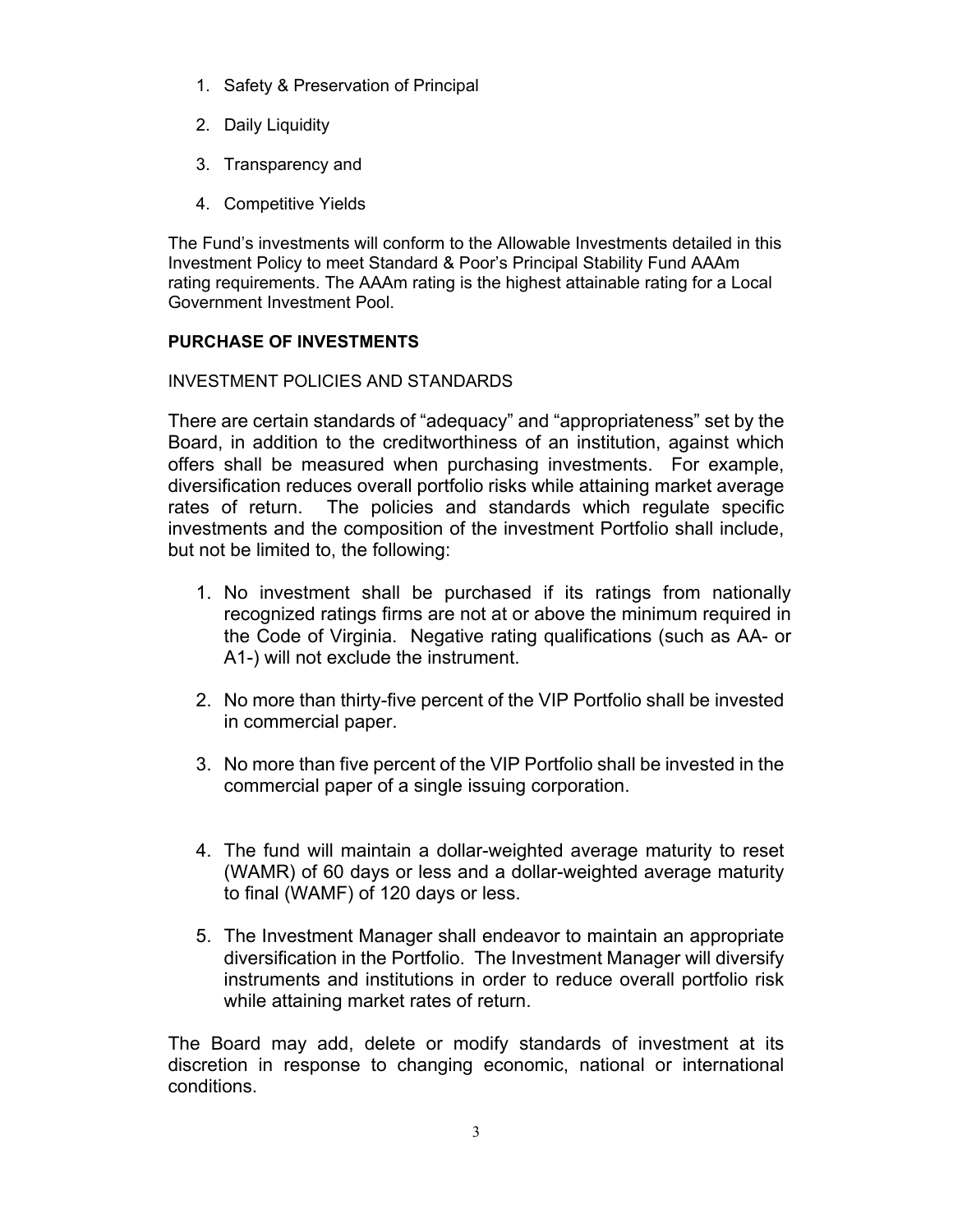- 1. Safety & Preservation of Principal
- 2. Daily Liquidity
- 3. Transparency and
- 4. Competitive Yields

The Fund's investments will conform to the Allowable Investments detailed in this Investment Policy to meet Standard & Poor's Principal Stability Fund AAAm rating requirements. The AAAm rating is the highest attainable rating for a Local Government Investment Pool.

# **PURCHASE OF INVESTMENTS**

INVESTMENT POLICIES AND STANDARDS

There are certain standards of "adequacy" and "appropriateness" set by the Board, in addition to the creditworthiness of an institution, against which offers shall be measured when purchasing investments. For example, diversification reduces overall portfolio risks while attaining market average rates of return. The policies and standards which regulate specific investments and the composition of the investment Portfolio shall include, but not be limited to, the following:

- 1. No investment shall be purchased if its ratings from nationally recognized ratings firms are not at or above the minimum required in the Code of Virginia. Negative rating qualifications (such as AA- or A1-) will not exclude the instrument.
- 2. No more than thirty-five percent of the VIP Portfolio shall be invested in commercial paper.
- 3. No more than five percent of the VIP Portfolio shall be invested in the commercial paper of a single issuing corporation.
- 4. The fund will maintain a dollar-weighted average maturity to reset (WAMR) of 60 days or less and a dollar-weighted average maturity to final (WAMF) of 120 days or less.
- 5. The Investment Manager shall endeavor to maintain an appropriate diversification in the Portfolio. The Investment Manager will diversify instruments and institutions in order to reduce overall portfolio risk while attaining market rates of return.

The Board may add, delete or modify standards of investment at its discretion in response to changing economic, national or international conditions.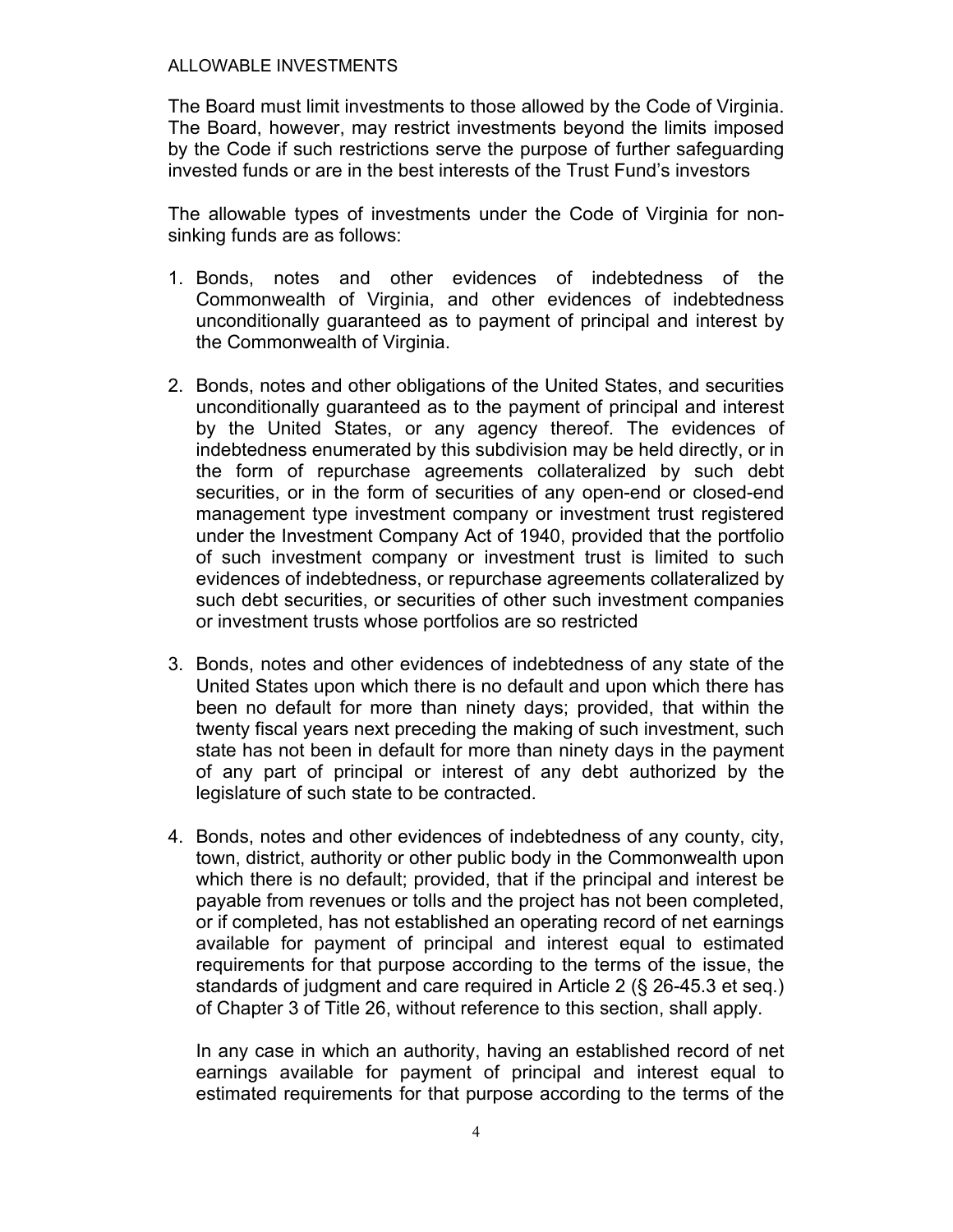### ALLOWABLE INVESTMENTS

The Board must limit investments to those allowed by the Code of Virginia. The Board, however, may restrict investments beyond the limits imposed by the Code if such restrictions serve the purpose of further safeguarding invested funds or are in the best interests of the Trust Fund's investors

The allowable types of investments under the Code of Virginia for nonsinking funds are as follows:

- 1. Bonds, notes and other evidences of indebtedness of the Commonwealth of Virginia, and other evidences of indebtedness unconditionally guaranteed as to payment of principal and interest by the Commonwealth of Virginia.
- 2. Bonds, notes and other obligations of the United States, and securities unconditionally guaranteed as to the payment of principal and interest by the United States, or any agency thereof. The evidences of indebtedness enumerated by this subdivision may be held directly, or in the form of repurchase agreements collateralized by such debt securities, or in the form of securities of any open-end or closed-end management type investment company or investment trust registered under the Investment Company Act of 1940, provided that the portfolio of such investment company or investment trust is limited to such evidences of indebtedness, or repurchase agreements collateralized by such debt securities, or securities of other such investment companies or investment trusts whose portfolios are so restricted
- 3. Bonds, notes and other evidences of indebtedness of any state of the United States upon which there is no default and upon which there has been no default for more than ninety days; provided, that within the twenty fiscal years next preceding the making of such investment, such state has not been in default for more than ninety days in the payment of any part of principal or interest of any debt authorized by the legislature of such state to be contracted.
- 4. Bonds, notes and other evidences of indebtedness of any county, city, town, district, authority or other public body in the Commonwealth upon which there is no default; provided, that if the principal and interest be payable from revenues or tolls and the project has not been completed, or if completed, has not established an operating record of net earnings available for payment of principal and interest equal to estimated requirements for that purpose according to the terms of the issue, the standards of judgment and care required in Article 2 (§ 26-45.3 et seq.) of Chapter 3 of Title 26, without reference to this section, shall apply.

In any case in which an authority, having an established record of net earnings available for payment of principal and interest equal to estimated requirements for that purpose according to the terms of the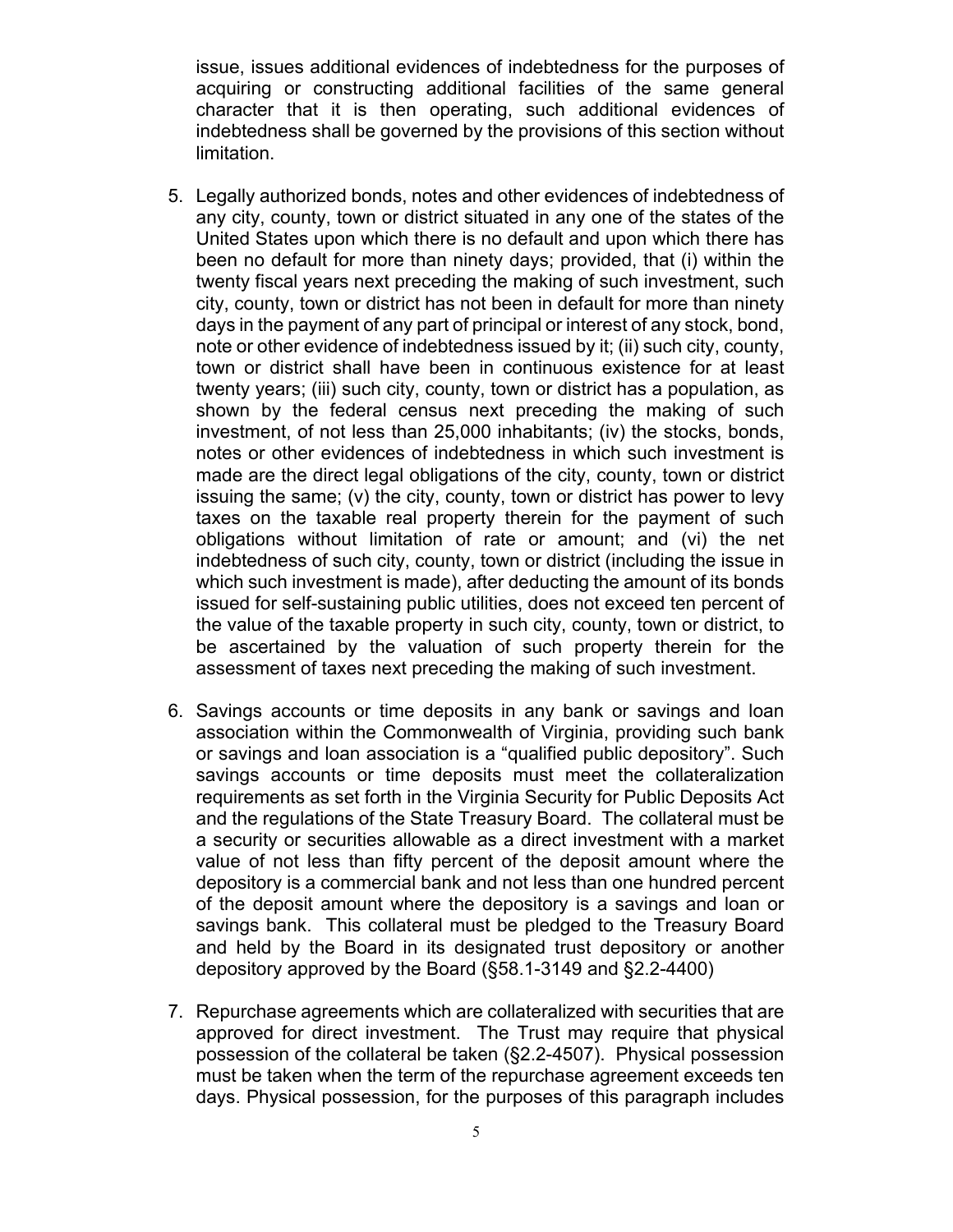issue, issues additional evidences of indebtedness for the purposes of acquiring or constructing additional facilities of the same general character that it is then operating, such additional evidences of indebtedness shall be governed by the provisions of this section without limitation.

- 5. Legally authorized bonds, notes and other evidences of indebtedness of any city, county, town or district situated in any one of the states of the United States upon which there is no default and upon which there has been no default for more than ninety days; provided, that (i) within the twenty fiscal years next preceding the making of such investment, such city, county, town or district has not been in default for more than ninety days in the payment of any part of principal or interest of any stock, bond, note or other evidence of indebtedness issued by it; (ii) such city, county, town or district shall have been in continuous existence for at least twenty years; (iii) such city, county, town or district has a population, as shown by the federal census next preceding the making of such investment, of not less than 25,000 inhabitants; (iv) the stocks, bonds, notes or other evidences of indebtedness in which such investment is made are the direct legal obligations of the city, county, town or district issuing the same; (v) the city, county, town or district has power to levy taxes on the taxable real property therein for the payment of such obligations without limitation of rate or amount; and (vi) the net indebtedness of such city, county, town or district (including the issue in which such investment is made), after deducting the amount of its bonds issued for self-sustaining public utilities, does not exceed ten percent of the value of the taxable property in such city, county, town or district, to be ascertained by the valuation of such property therein for the assessment of taxes next preceding the making of such investment.
- 6. Savings accounts or time deposits in any bank or savings and loan association within the Commonwealth of Virginia, providing such bank or savings and loan association is a "qualified public depository". Such savings accounts or time deposits must meet the collateralization requirements as set forth in the Virginia Security for Public Deposits Act and the regulations of the State Treasury Board. The collateral must be a security or securities allowable as a direct investment with a market value of not less than fifty percent of the deposit amount where the depository is a commercial bank and not less than one hundred percent of the deposit amount where the depository is a savings and loan or savings bank. This collateral must be pledged to the Treasury Board and held by the Board in its designated trust depository or another depository approved by the Board (§58.1-3149 and §2.2-4400)
- 7. Repurchase agreements which are collateralized with securities that are approved for direct investment. The Trust may require that physical possession of the collateral be taken (§2.2-4507). Physical possession must be taken when the term of the repurchase agreement exceeds ten days. Physical possession, for the purposes of this paragraph includes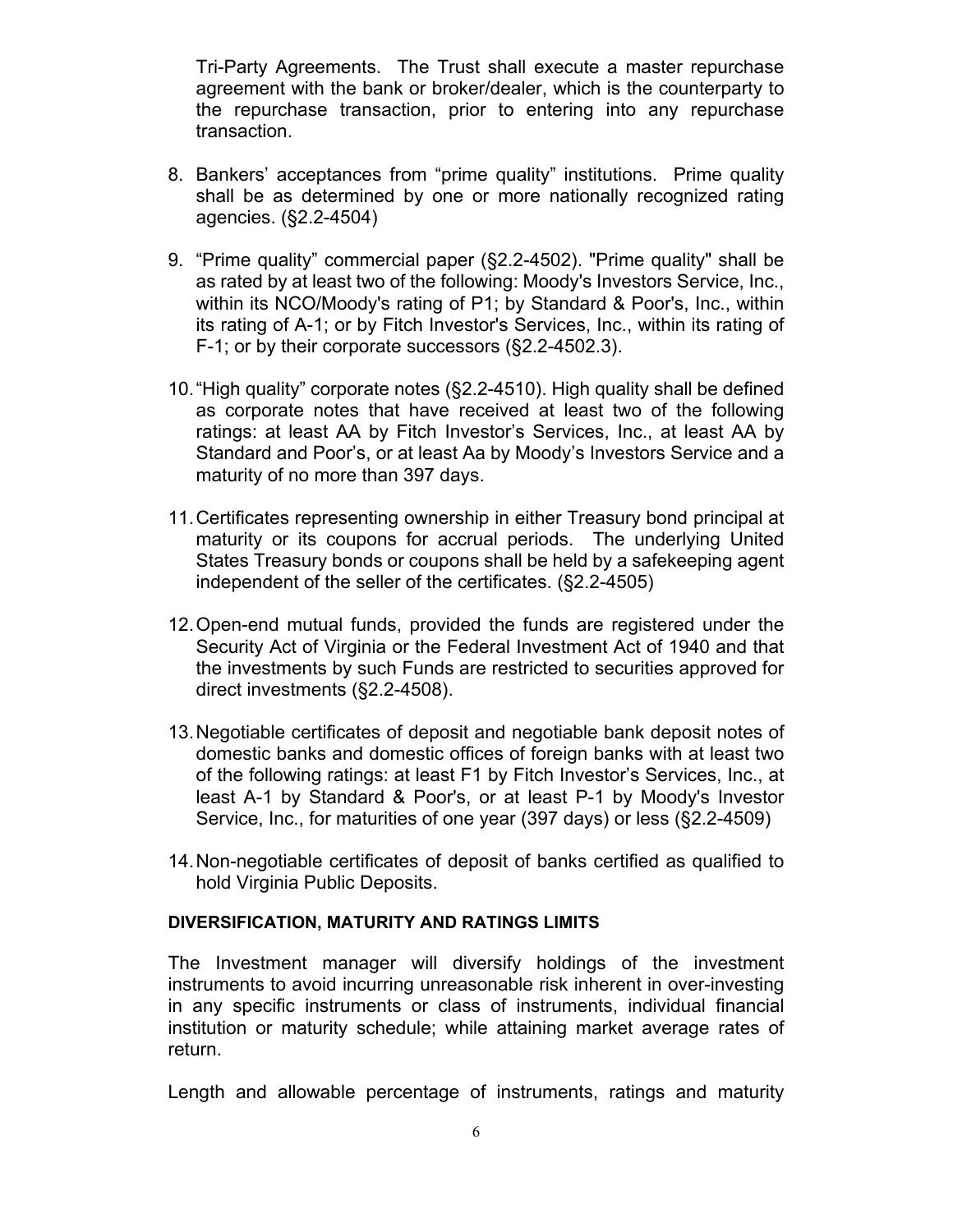Tri-Party Agreements. The Trust shall execute a master repurchase agreement with the bank or broker/dealer, which is the counterparty to the repurchase transaction, prior to entering into any repurchase transaction.

- 8. Bankers' acceptances from "prime quality" institutions. Prime quality shall be as determined by one or more nationally recognized rating agencies. (§2.2-4504)
- 9. "Prime quality" commercial paper (§2.2-4502). "Prime quality" shall be as rated by at least two of the following: Moody's Investors Service, Inc., within its NCO/Moody's rating of P1; by Standard & Poor's, Inc., within its rating of A-1; or by Fitch Investor's Services, Inc., within its rating of F-1; or by their corporate successors (§2.2-4502.3).
- 10. "High quality" corporate notes (§2.2-4510). High quality shall be defined as corporate notes that have received at least two of the following ratings: at least AA by Fitch Investor's Services, Inc., at least AA by Standard and Poor's, or at least Aa by Moody's Investors Service and a maturity of no more than 397 days.
- 11. Certificates representing ownership in either Treasury bond principal at maturity or its coupons for accrual periods. The underlying United States Treasury bonds or coupons shall be held by a safekeeping agent independent of the seller of the certificates. (§2.2-4505)
- 12. Open-end mutual funds, provided the funds are registered under the Security Act of Virginia or the Federal Investment Act of 1940 and that the investments by such Funds are restricted to securities approved for direct investments (§2.2-4508).
- 13. Negotiable certificates of deposit and negotiable bank deposit notes of domestic banks and domestic offices of foreign banks with at least two of the following ratings: at least F1 by Fitch Investor's Services, Inc., at least A-1 by Standard & Poor's, or at least P-1 by Moody's Investor Service, Inc., for maturities of one year (397 days) or less (§2.2-4509)
- 14. Non-negotiable certificates of deposit of banks certified as qualified to hold Virginia Public Deposits.

## **DIVERSIFICATION, MATURITY AND RATINGS LIMITS**

The Investment manager will diversify holdings of the investment instruments to avoid incurring unreasonable risk inherent in over-investing in any specific instruments or class of instruments, individual financial institution or maturity schedule; while attaining market average rates of return.

Length and allowable percentage of instruments, ratings and maturity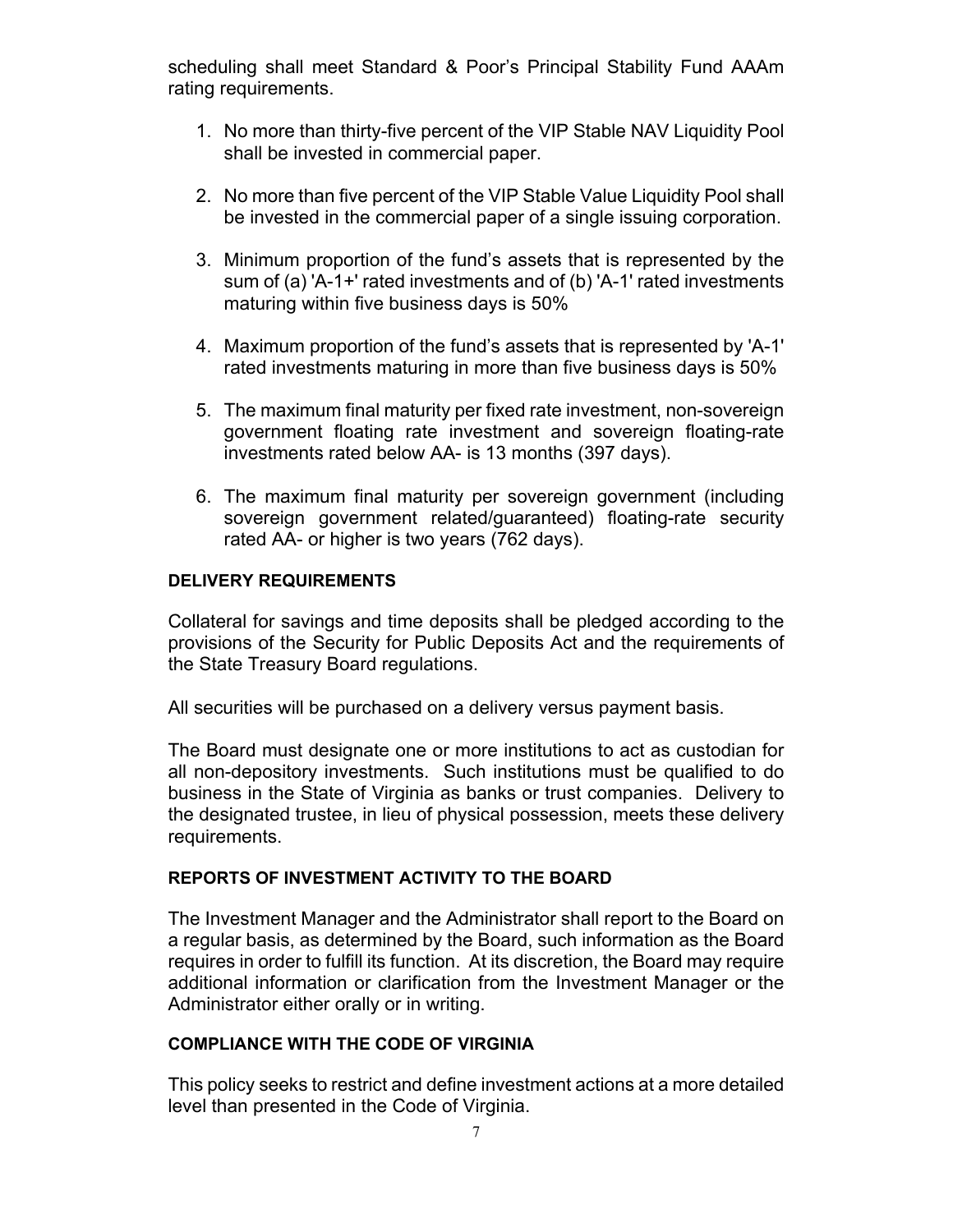scheduling shall meet Standard & Poor's Principal Stability Fund AAAm rating requirements.

- 1. No more than thirty-five percent of the VIP Stable NAV Liquidity Pool shall be invested in commercial paper.
- 2. No more than five percent of the VIP Stable Value Liquidity Pool shall be invested in the commercial paper of a single issuing corporation.
- 3. Minimum proportion of the fund's assets that is represented by the sum of (a) 'A-1+' rated investments and of (b) 'A-1' rated investments maturing within five business days is 50%
- 4. Maximum proportion of the fund's assets that is represented by 'A-1' rated investments maturing in more than five business days is 50%
- 5. The maximum final maturity per fixed rate investment, non-sovereign government floating rate investment and sovereign floating-rate investments rated below AA- is 13 months (397 days).
- 6. The maximum final maturity per sovereign government (including sovereign government related/guaranteed) floating-rate security rated AA- or higher is two years (762 days).

# **DELIVERY REQUIREMENTS**

Collateral for savings and time deposits shall be pledged according to the provisions of the Security for Public Deposits Act and the requirements of the State Treasury Board regulations.

All securities will be purchased on a delivery versus payment basis.

The Board must designate one or more institutions to act as custodian for all non-depository investments. Such institutions must be qualified to do business in the State of Virginia as banks or trust companies. Delivery to the designated trustee, in lieu of physical possession, meets these delivery requirements.

## **REPORTS OF INVESTMENT ACTIVITY TO THE BOARD**

The Investment Manager and the Administrator shall report to the Board on a regular basis, as determined by the Board, such information as the Board requires in order to fulfill its function. At its discretion, the Board may require additional information or clarification from the Investment Manager or the Administrator either orally or in writing.

## **COMPLIANCE WITH THE CODE OF VIRGINIA**

This policy seeks to restrict and define investment actions at a more detailed level than presented in the Code of Virginia.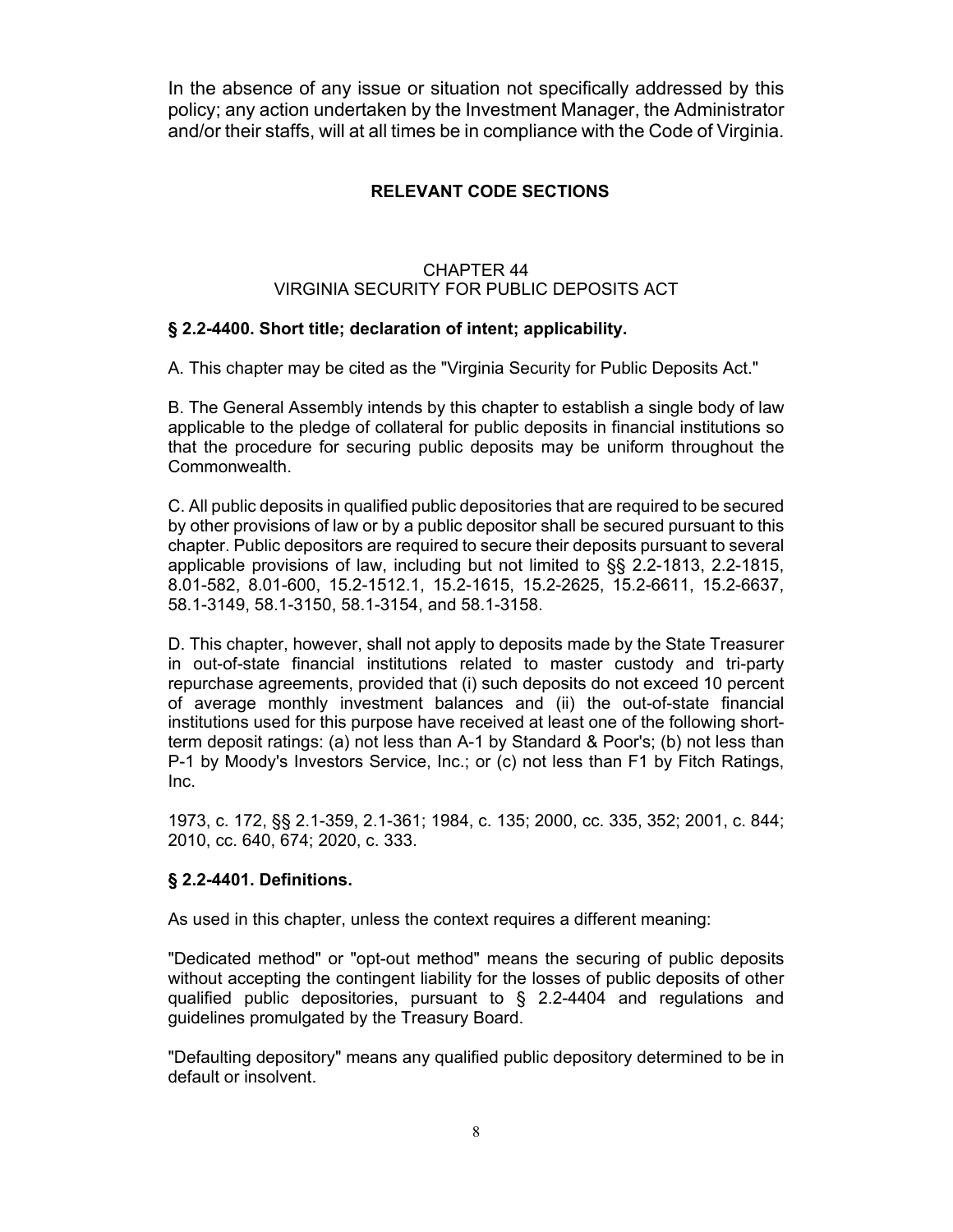In the absence of any issue or situation not specifically addressed by this policy; any action undertaken by the Investment Manager, the Administrator and/or their staffs, will at all times be in compliance with the Code of Virginia.

# **RELEVANT CODE SECTIONS**

## CHAPTER 44 VIRGINIA SECURITY FOR PUBLIC DEPOSITS ACT

# **§ 2.2-4400. Short title; declaration of intent; applicability.**

A. This chapter may be cited as the "Virginia Security for Public Deposits Act."

B. The General Assembly intends by this chapter to establish a single body of law applicable to the pledge of collateral for public deposits in financial institutions so that the procedure for securing public deposits may be uniform throughout the Commonwealth.

C. All public deposits in qualified public depositories that are required to be secured by other provisions of law or by a public depositor shall be secured pursuant to this chapter. Public depositors are required to secure their deposits pursuant to several applicable provisions of law, including but not limited to §§ 2.2-1813, 2.2-1815, 8.01-582, 8.01-600, 15.2-1512.1, 15.2-1615, 15.2-2625, 15.2-6611, 15.2-6637, 58.1-3149, 58.1-3150, 58.1-3154, and 58.1-3158.

D. This chapter, however, shall not apply to deposits made by the State Treasurer in out-of-state financial institutions related to master custody and tri-party repurchase agreements, provided that (i) such deposits do not exceed 10 percent of average monthly investment balances and (ii) the out-of-state financial institutions used for this purpose have received at least one of the following shortterm deposit ratings: (a) not less than A-1 by Standard & Poor's; (b) not less than P-1 by Moody's Investors Service, Inc.; or (c) not less than F1 by Fitch Ratings, Inc.

1973, c. 172, §§ 2.1-359, 2.1-361; 1984, c. 135; 2000, cc. 335, 352; 2001, c. 844; 2010, cc. 640, 674; 2020, c. 333.

## **§ 2.2-4401. Definitions.**

As used in this chapter, unless the context requires a different meaning:

"Dedicated method" or "opt-out method" means the securing of public deposits without accepting the contingent liability for the losses of public deposits of other qualified public depositories, pursuant to § 2.2-4404 and regulations and guidelines promulgated by the Treasury Board.

"Defaulting depository" means any qualified public depository determined to be in default or insolvent.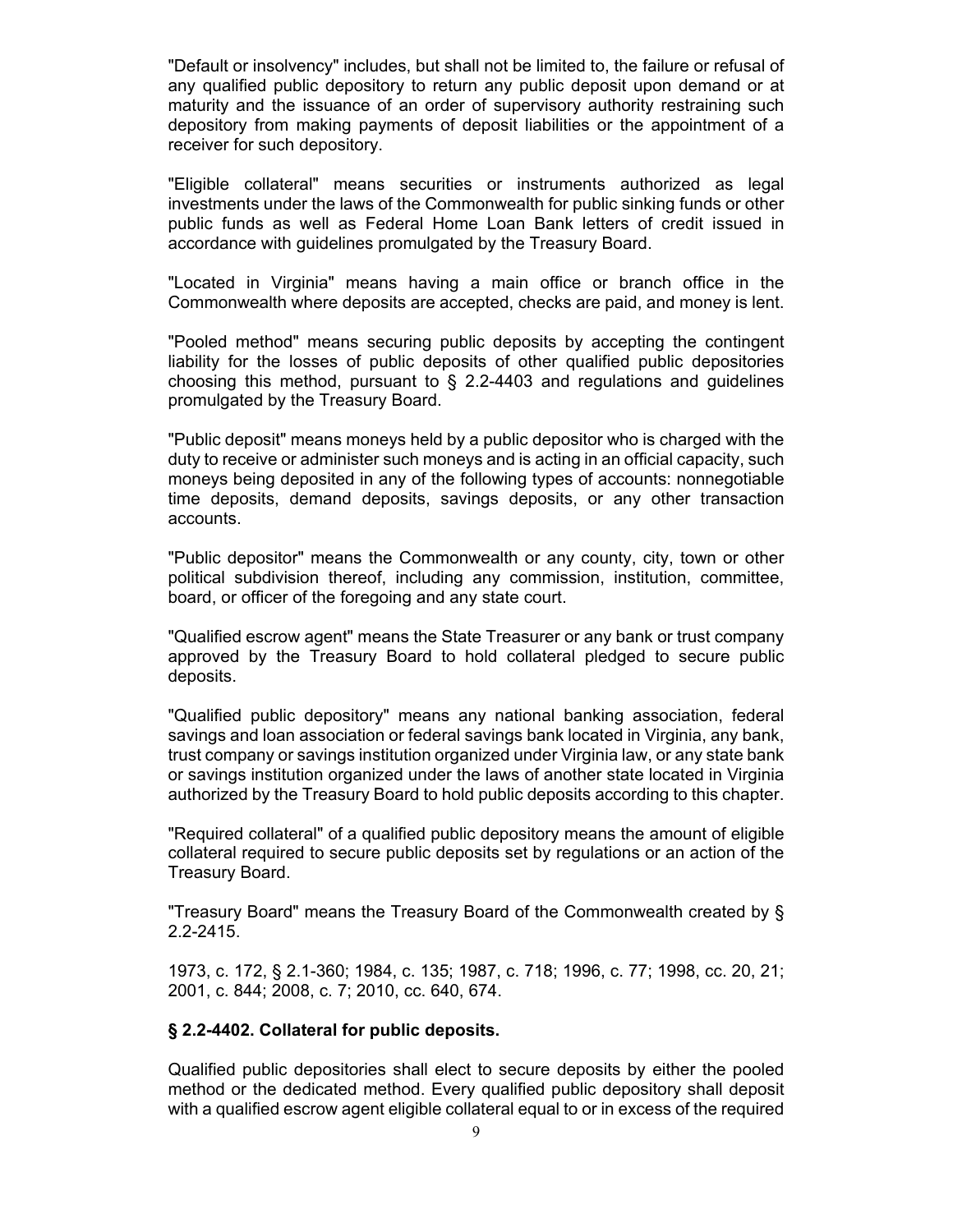"Default or insolvency" includes, but shall not be limited to, the failure or refusal of any qualified public depository to return any public deposit upon demand or at maturity and the issuance of an order of supervisory authority restraining such depository from making payments of deposit liabilities or the appointment of a receiver for such depository.

"Eligible collateral" means securities or instruments authorized as legal investments under the laws of the Commonwealth for public sinking funds or other public funds as well as Federal Home Loan Bank letters of credit issued in accordance with guidelines promulgated by the Treasury Board.

"Located in Virginia" means having a main office or branch office in the Commonwealth where deposits are accepted, checks are paid, and money is lent.

"Pooled method" means securing public deposits by accepting the contingent liability for the losses of public deposits of other qualified public depositories choosing this method, pursuant to  $\S$  2.2-4403 and regulations and guidelines promulgated by the Treasury Board.

"Public deposit" means moneys held by a public depositor who is charged with the duty to receive or administer such moneys and is acting in an official capacity, such moneys being deposited in any of the following types of accounts: nonnegotiable time deposits, demand deposits, savings deposits, or any other transaction accounts.

"Public depositor" means the Commonwealth or any county, city, town or other political subdivision thereof, including any commission, institution, committee, board, or officer of the foregoing and any state court.

"Qualified escrow agent" means the State Treasurer or any bank or trust company approved by the Treasury Board to hold collateral pledged to secure public deposits.

"Qualified public depository" means any national banking association, federal savings and loan association or federal savings bank located in Virginia, any bank, trust company or savings institution organized under Virginia law, or any state bank or savings institution organized under the laws of another state located in Virginia authorized by the Treasury Board to hold public deposits according to this chapter.

"Required collateral" of a qualified public depository means the amount of eligible collateral required to secure public deposits set by regulations or an action of the Treasury Board.

"Treasury Board" means the Treasury Board of the Commonwealth created by § 2.2-2415.

1973, c. 172, § 2.1-360; 1984, c. 135; 1987, c. 718; 1996, c. 77; 1998, cc. 20, 21; 2001, c. 844; 2008, c. 7; 2010, cc. 640, 674.

### **§ 2.2-4402. Collateral for public deposits.**

Qualified public depositories shall elect to secure deposits by either the pooled method or the dedicated method. Every qualified public depository shall deposit with a qualified escrow agent eligible collateral equal to or in excess of the required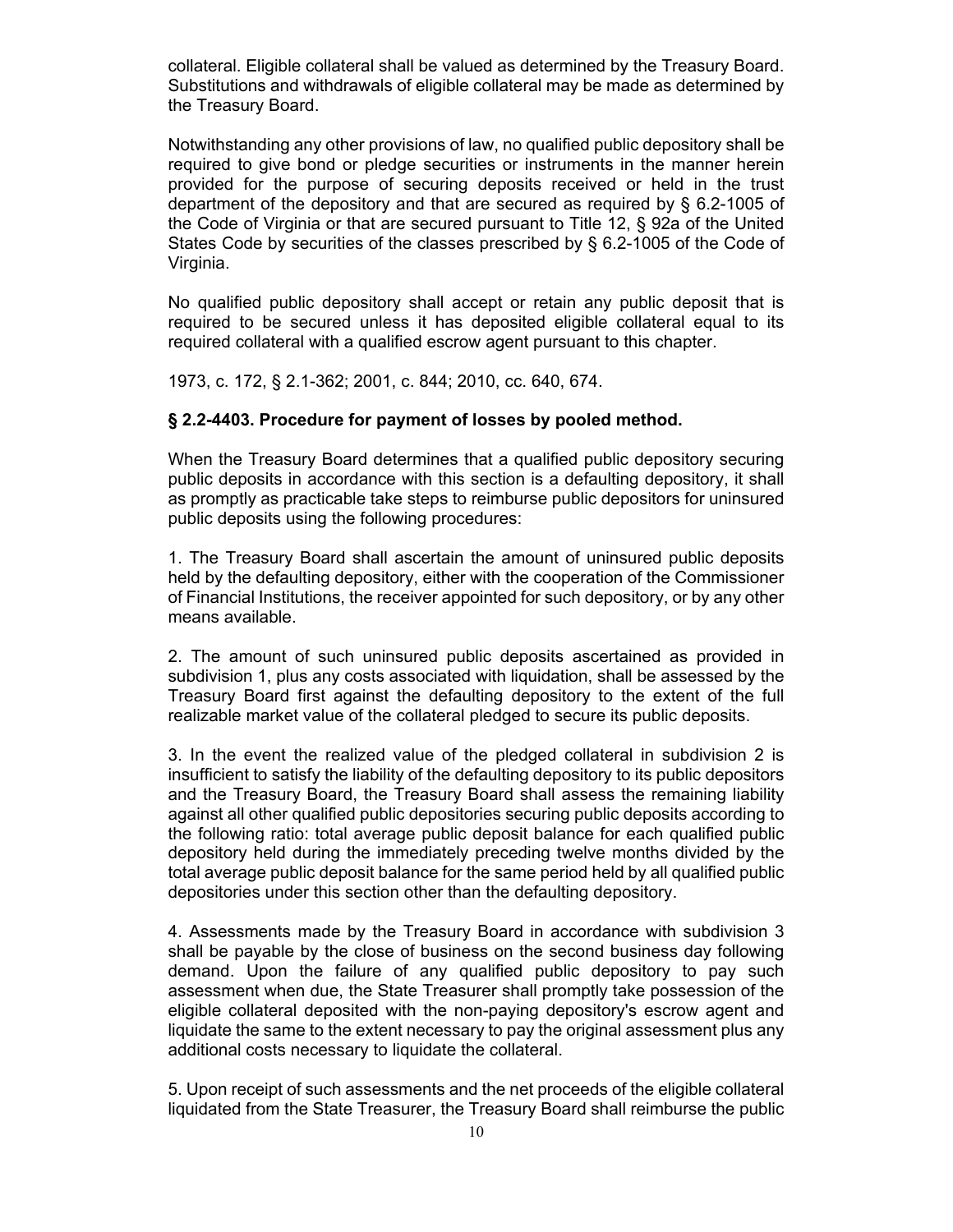collateral. Eligible collateral shall be valued as determined by the Treasury Board. Substitutions and withdrawals of eligible collateral may be made as determined by the Treasury Board.

Notwithstanding any other provisions of law, no qualified public depository shall be required to give bond or pledge securities or instruments in the manner herein provided for the purpose of securing deposits received or held in the trust department of the depository and that are secured as required by § 6.2-1005 of the Code of Virginia or that are secured pursuant to Title 12, § 92a of the United States Code by securities of the classes prescribed by § 6.2-1005 of the Code of Virginia.

No qualified public depository shall accept or retain any public deposit that is required to be secured unless it has deposited eligible collateral equal to its required collateral with a qualified escrow agent pursuant to this chapter.

1973, c. 172, § 2.1-362; 2001, c. 844; 2010, cc. 640, 674.

#### **§ 2.2-4403. Procedure for payment of losses by pooled method.**

When the Treasury Board determines that a qualified public depository securing public deposits in accordance with this section is a defaulting depository, it shall as promptly as practicable take steps to reimburse public depositors for uninsured public deposits using the following procedures:

1. The Treasury Board shall ascertain the amount of uninsured public deposits held by the defaulting depository, either with the cooperation of the Commissioner of Financial Institutions, the receiver appointed for such depository, or by any other means available.

2. The amount of such uninsured public deposits ascertained as provided in subdivision 1, plus any costs associated with liquidation, shall be assessed by the Treasury Board first against the defaulting depository to the extent of the full realizable market value of the collateral pledged to secure its public deposits.

3. In the event the realized value of the pledged collateral in subdivision 2 is insufficient to satisfy the liability of the defaulting depository to its public depositors and the Treasury Board, the Treasury Board shall assess the remaining liability against all other qualified public depositories securing public deposits according to the following ratio: total average public deposit balance for each qualified public depository held during the immediately preceding twelve months divided by the total average public deposit balance for the same period held by all qualified public depositories under this section other than the defaulting depository.

4. Assessments made by the Treasury Board in accordance with subdivision 3 shall be payable by the close of business on the second business day following demand. Upon the failure of any qualified public depository to pay such assessment when due, the State Treasurer shall promptly take possession of the eligible collateral deposited with the non-paying depository's escrow agent and liquidate the same to the extent necessary to pay the original assessment plus any additional costs necessary to liquidate the collateral.

5. Upon receipt of such assessments and the net proceeds of the eligible collateral liquidated from the State Treasurer, the Treasury Board shall reimburse the public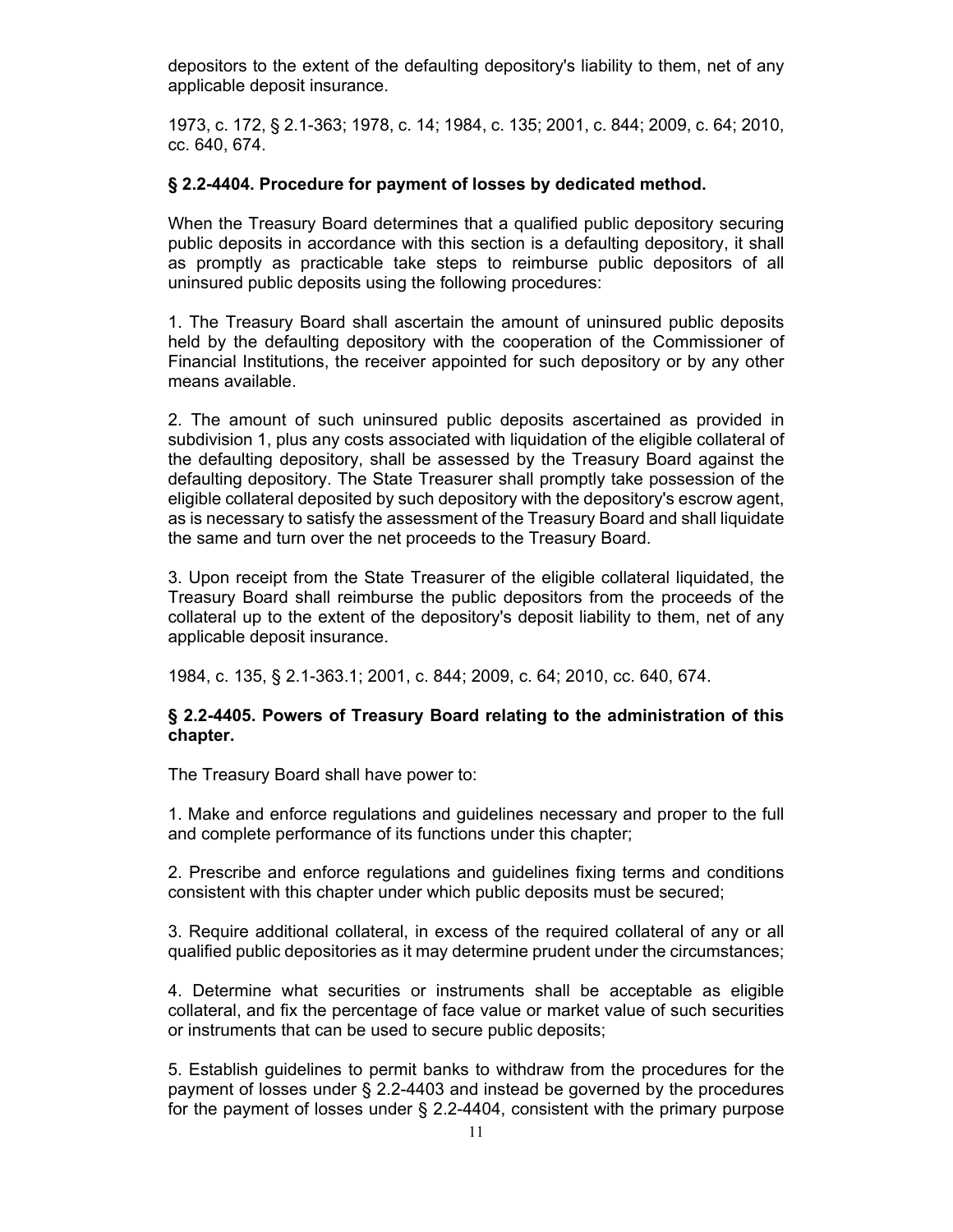depositors to the extent of the defaulting depository's liability to them, net of any applicable deposit insurance.

1973, c. 172, § 2.1-363; 1978, c. 14; 1984, c. 135; 2001, c. 844; 2009, c. 64; 2010, cc. 640, 674.

#### **§ 2.2-4404. Procedure for payment of losses by dedicated method.**

When the Treasury Board determines that a qualified public depository securing public deposits in accordance with this section is a defaulting depository, it shall as promptly as practicable take steps to reimburse public depositors of all uninsured public deposits using the following procedures:

1. The Treasury Board shall ascertain the amount of uninsured public deposits held by the defaulting depository with the cooperation of the Commissioner of Financial Institutions, the receiver appointed for such depository or by any other means available.

2. The amount of such uninsured public deposits ascertained as provided in subdivision 1, plus any costs associated with liquidation of the eligible collateral of the defaulting depository, shall be assessed by the Treasury Board against the defaulting depository. The State Treasurer shall promptly take possession of the eligible collateral deposited by such depository with the depository's escrow agent, as is necessary to satisfy the assessment of the Treasury Board and shall liquidate the same and turn over the net proceeds to the Treasury Board.

3. Upon receipt from the State Treasurer of the eligible collateral liquidated, the Treasury Board shall reimburse the public depositors from the proceeds of the collateral up to the extent of the depository's deposit liability to them, net of any applicable deposit insurance.

1984, c. 135, § 2.1-363.1; 2001, c. 844; 2009, c. 64; 2010, cc. 640, 674.

### **§ 2.2-4405. Powers of Treasury Board relating to the administration of this chapter.**

The Treasury Board shall have power to:

1. Make and enforce regulations and guidelines necessary and proper to the full and complete performance of its functions under this chapter;

2. Prescribe and enforce regulations and guidelines fixing terms and conditions consistent with this chapter under which public deposits must be secured;

3. Require additional collateral, in excess of the required collateral of any or all qualified public depositories as it may determine prudent under the circumstances;

4. Determine what securities or instruments shall be acceptable as eligible collateral, and fix the percentage of face value or market value of such securities or instruments that can be used to secure public deposits;

5. Establish guidelines to permit banks to withdraw from the procedures for the payment of losses under § 2.2-4403 and instead be governed by the procedures for the payment of losses under § 2.2-4404, consistent with the primary purpose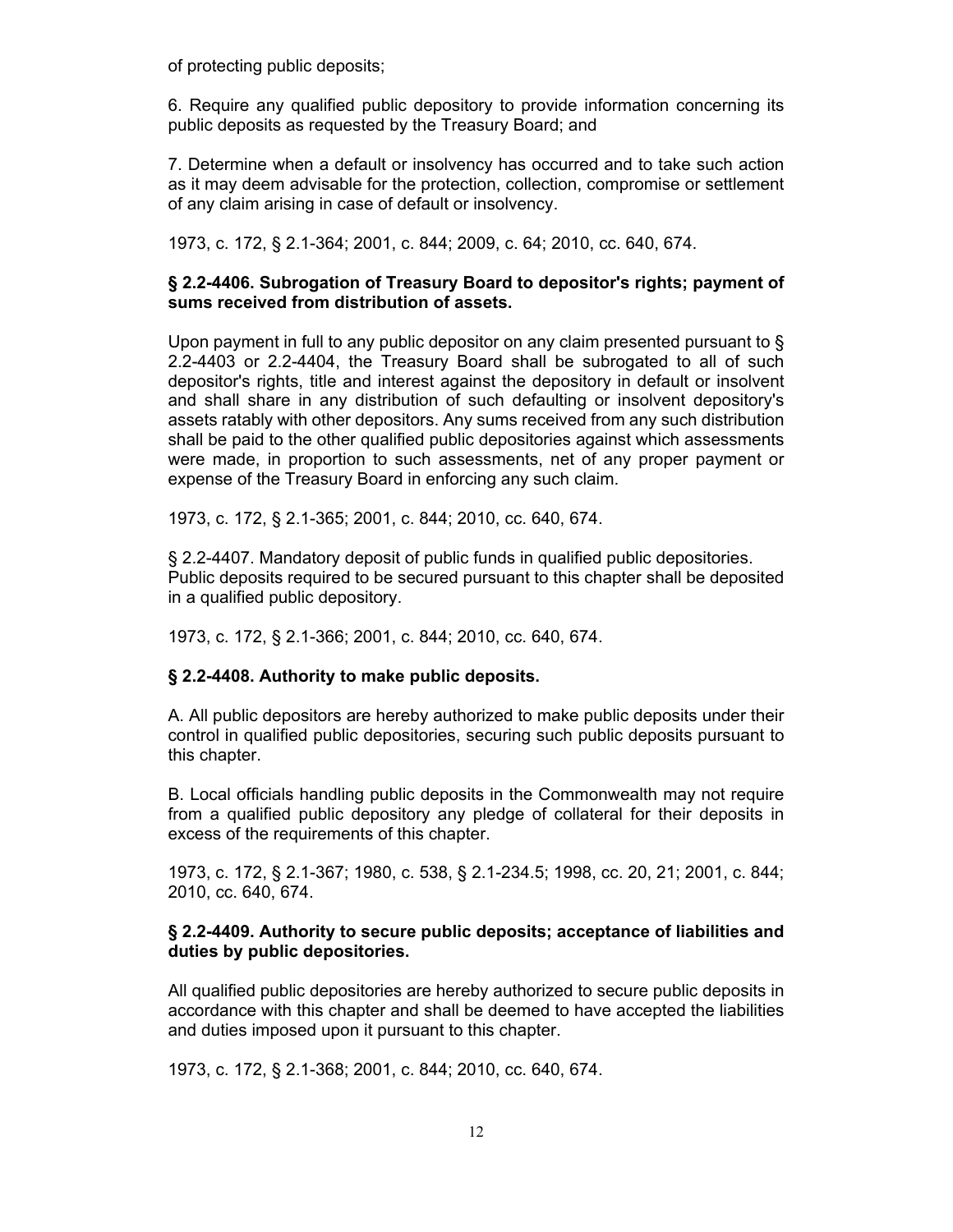of protecting public deposits;

6. Require any qualified public depository to provide information concerning its public deposits as requested by the Treasury Board; and

7. Determine when a default or insolvency has occurred and to take such action as it may deem advisable for the protection, collection, compromise or settlement of any claim arising in case of default or insolvency.

1973, c. 172, § 2.1-364; 2001, c. 844; 2009, c. 64; 2010, cc. 640, 674.

### **§ 2.2-4406. Subrogation of Treasury Board to depositor's rights; payment of sums received from distribution of assets.**

Upon payment in full to any public depositor on any claim presented pursuant to § 2.2-4403 or 2.2-4404, the Treasury Board shall be subrogated to all of such depositor's rights, title and interest against the depository in default or insolvent and shall share in any distribution of such defaulting or insolvent depository's assets ratably with other depositors. Any sums received from any such distribution shall be paid to the other qualified public depositories against which assessments were made, in proportion to such assessments, net of any proper payment or expense of the Treasury Board in enforcing any such claim.

1973, c. 172, § 2.1-365; 2001, c. 844; 2010, cc. 640, 674.

§ 2.2-4407. Mandatory deposit of public funds in qualified public depositories. Public deposits required to be secured pursuant to this chapter shall be deposited in a qualified public depository.

1973, c. 172, § 2.1-366; 2001, c. 844; 2010, cc. 640, 674.

### **§ 2.2-4408. Authority to make public deposits.**

A. All public depositors are hereby authorized to make public deposits under their control in qualified public depositories, securing such public deposits pursuant to this chapter.

B. Local officials handling public deposits in the Commonwealth may not require from a qualified public depository any pledge of collateral for their deposits in excess of the requirements of this chapter.

1973, c. 172, § 2.1-367; 1980, c. 538, § 2.1-234.5; 1998, cc. 20, 21; 2001, c. 844; 2010, cc. 640, 674.

### **§ 2.2-4409. Authority to secure public deposits; acceptance of liabilities and duties by public depositories.**

All qualified public depositories are hereby authorized to secure public deposits in accordance with this chapter and shall be deemed to have accepted the liabilities and duties imposed upon it pursuant to this chapter.

1973, c. 172, § 2.1-368; 2001, c. 844; 2010, cc. 640, 674.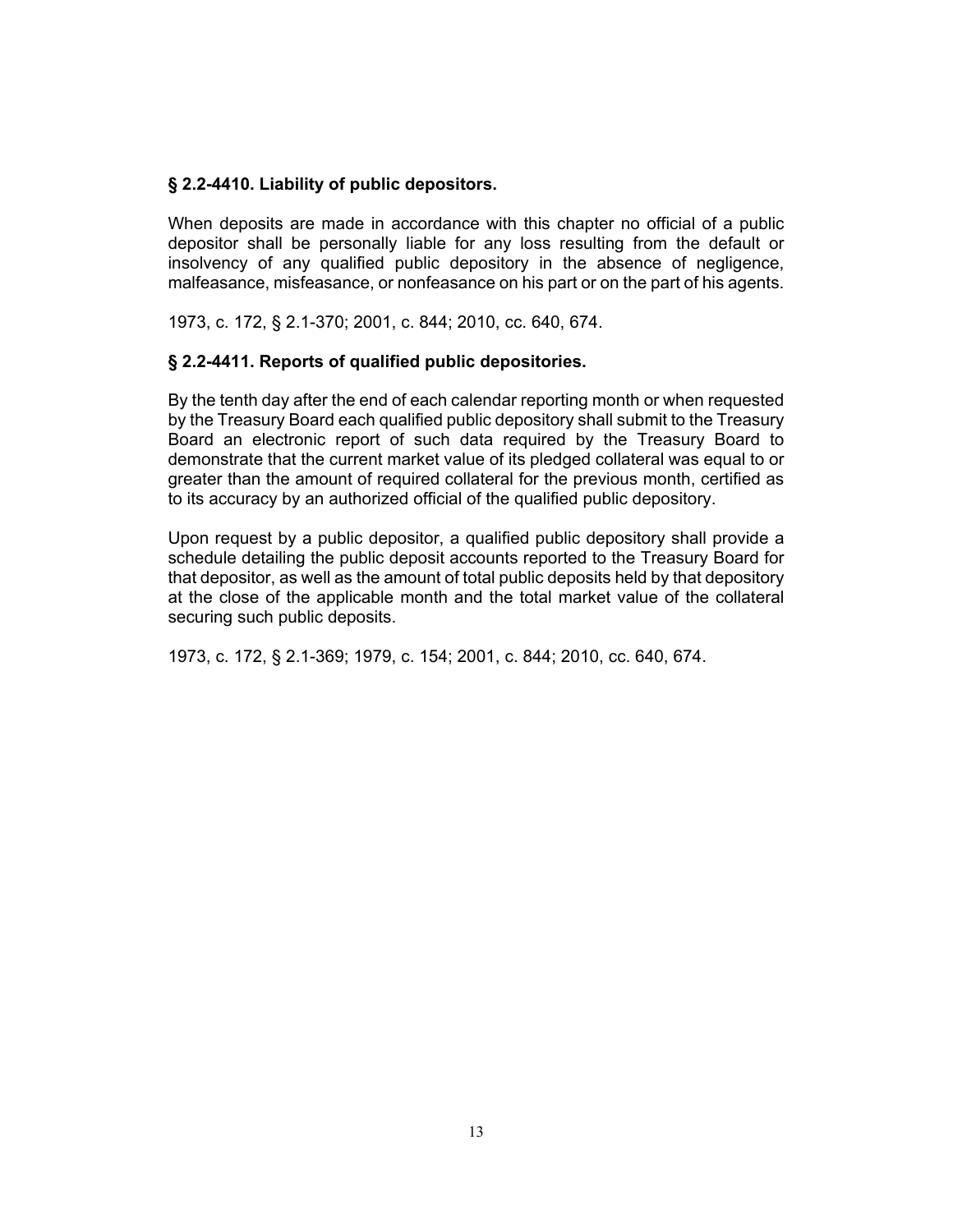### **§ 2.2-4410. Liability of public depositors.**

When deposits are made in accordance with this chapter no official of a public depositor shall be personally liable for any loss resulting from the default or insolvency of any qualified public depository in the absence of negligence, malfeasance, misfeasance, or nonfeasance on his part or on the part of his agents.

1973, c. 172, § 2.1-370; 2001, c. 844; 2010, cc. 640, 674.

### **§ 2.2-4411. Reports of qualified public depositories.**

By the tenth day after the end of each calendar reporting month or when requested by the Treasury Board each qualified public depository shall submit to the Treasury Board an electronic report of such data required by the Treasury Board to demonstrate that the current market value of its pledged collateral was equal to or greater than the amount of required collateral for the previous month, certified as to its accuracy by an authorized official of the qualified public depository.

Upon request by a public depositor, a qualified public depository shall provide a schedule detailing the public deposit accounts reported to the Treasury Board for that depositor, as well as the amount of total public deposits held by that depository at the close of the applicable month and the total market value of the collateral securing such public deposits.

1973, c. 172, § 2.1-369; 1979, c. 154; 2001, c. 844; 2010, cc. 640, 674.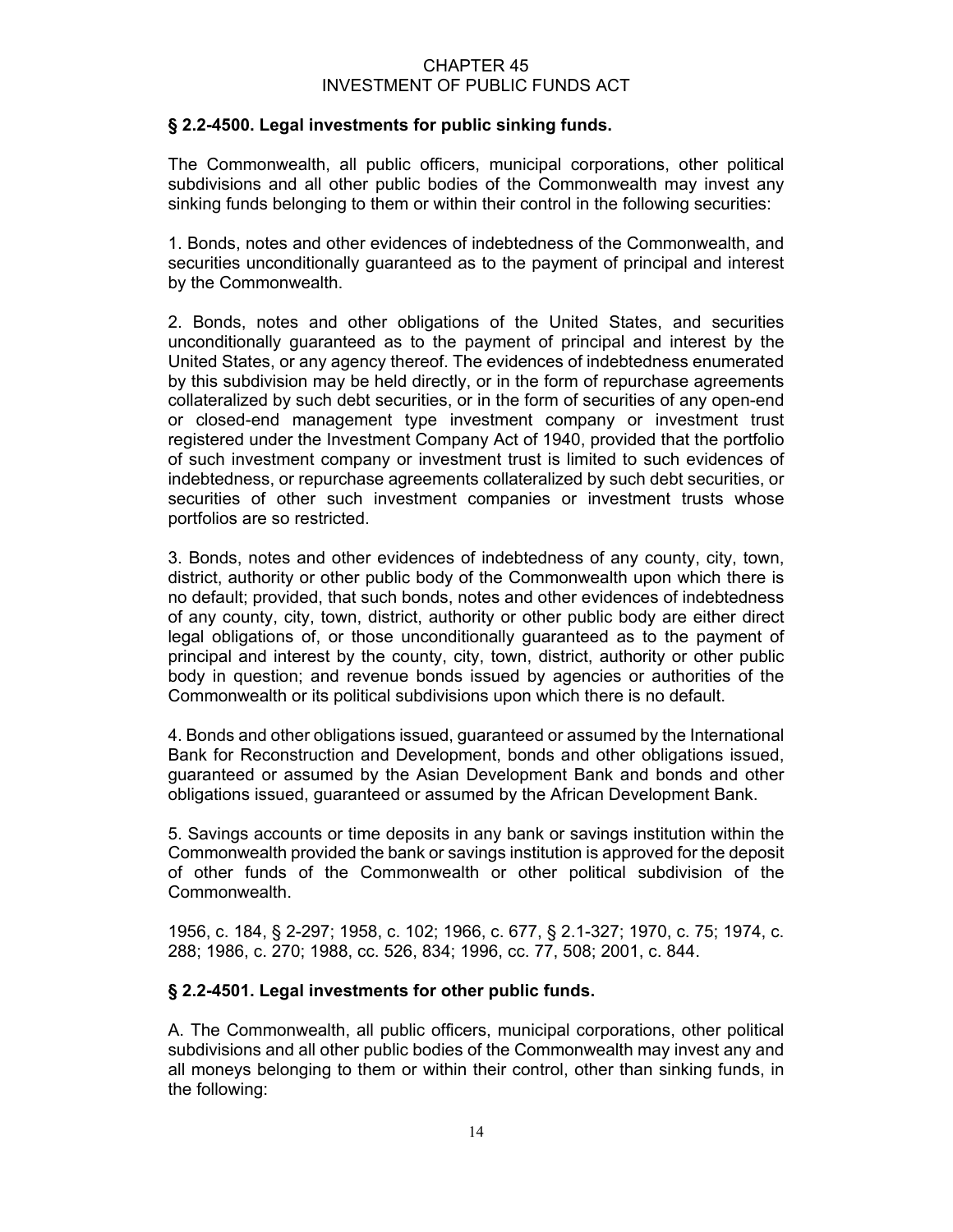### CHAPTER 45 INVESTMENT OF PUBLIC FUNDS ACT

## **§ 2.2-4500. Legal investments for public sinking funds.**

The Commonwealth, all public officers, municipal corporations, other political subdivisions and all other public bodies of the Commonwealth may invest any sinking funds belonging to them or within their control in the following securities:

1. Bonds, notes and other evidences of indebtedness of the Commonwealth, and securities unconditionally guaranteed as to the payment of principal and interest by the Commonwealth.

2. Bonds, notes and other obligations of the United States, and securities unconditionally guaranteed as to the payment of principal and interest by the United States, or any agency thereof. The evidences of indebtedness enumerated by this subdivision may be held directly, or in the form of repurchase agreements collateralized by such debt securities, or in the form of securities of any open-end or closed-end management type investment company or investment trust registered under the Investment Company Act of 1940, provided that the portfolio of such investment company or investment trust is limited to such evidences of indebtedness, or repurchase agreements collateralized by such debt securities, or securities of other such investment companies or investment trusts whose portfolios are so restricted.

3. Bonds, notes and other evidences of indebtedness of any county, city, town, district, authority or other public body of the Commonwealth upon which there is no default; provided, that such bonds, notes and other evidences of indebtedness of any county, city, town, district, authority or other public body are either direct legal obligations of, or those unconditionally guaranteed as to the payment of principal and interest by the county, city, town, district, authority or other public body in question; and revenue bonds issued by agencies or authorities of the Commonwealth or its political subdivisions upon which there is no default.

4. Bonds and other obligations issued, guaranteed or assumed by the International Bank for Reconstruction and Development, bonds and other obligations issued, guaranteed or assumed by the Asian Development Bank and bonds and other obligations issued, guaranteed or assumed by the African Development Bank.

5. Savings accounts or time deposits in any bank or savings institution within the Commonwealth provided the bank or savings institution is approved for the deposit of other funds of the Commonwealth or other political subdivision of the Commonwealth.

1956, c. 184, § 2-297; 1958, c. 102; 1966, c. 677, § 2.1-327; 1970, c. 75; 1974, c. 288; 1986, c. 270; 1988, cc. 526, 834; 1996, cc. 77, 508; 2001, c. 844.

### **§ 2.2-4501. Legal investments for other public funds.**

A. The Commonwealth, all public officers, municipal corporations, other political subdivisions and all other public bodies of the Commonwealth may invest any and all moneys belonging to them or within their control, other than sinking funds, in the following: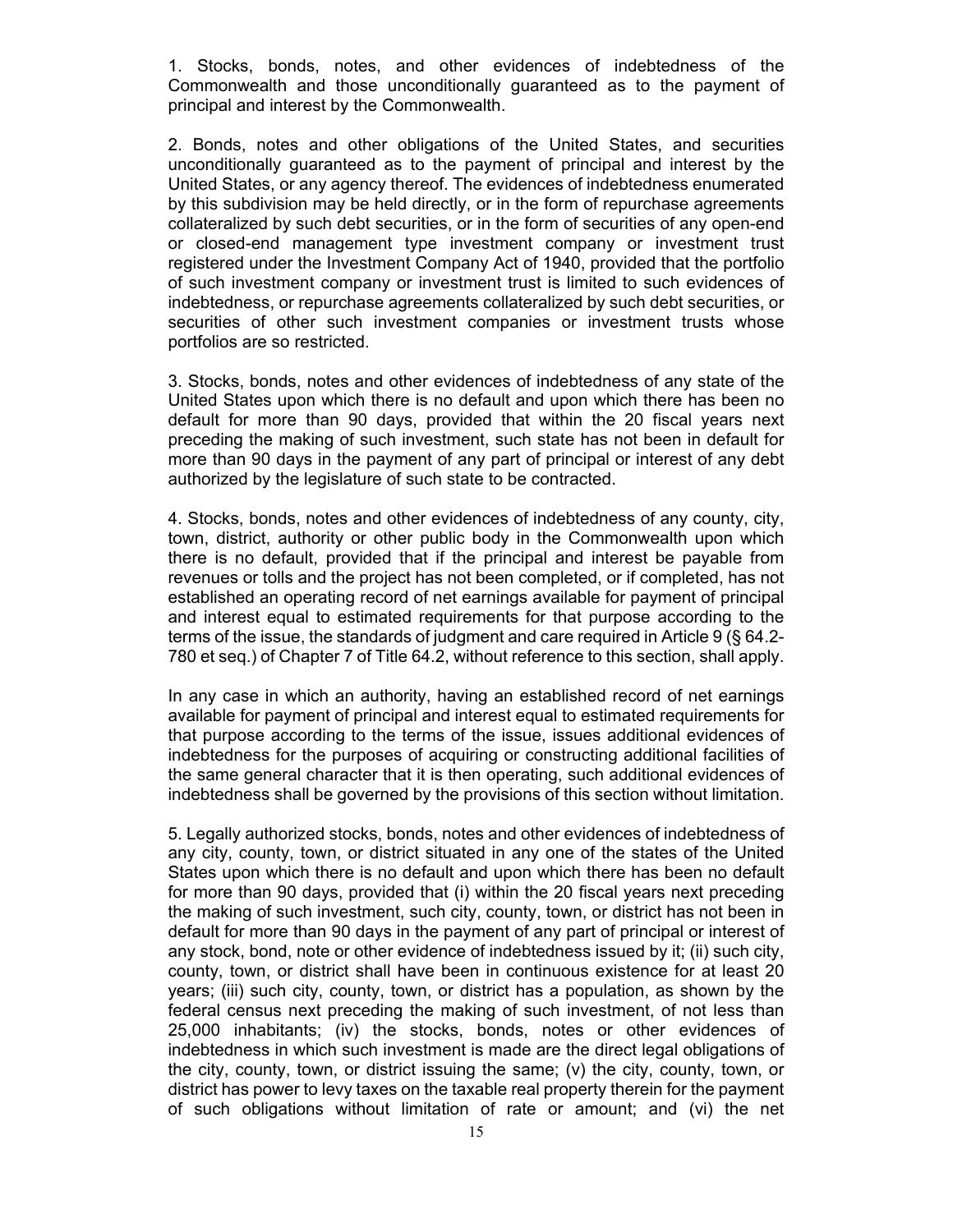1. Stocks, bonds, notes, and other evidences of indebtedness of the Commonwealth and those unconditionally guaranteed as to the payment of principal and interest by the Commonwealth.

2. Bonds, notes and other obligations of the United States, and securities unconditionally guaranteed as to the payment of principal and interest by the United States, or any agency thereof. The evidences of indebtedness enumerated by this subdivision may be held directly, or in the form of repurchase agreements collateralized by such debt securities, or in the form of securities of any open-end or closed-end management type investment company or investment trust registered under the Investment Company Act of 1940, provided that the portfolio of such investment company or investment trust is limited to such evidences of indebtedness, or repurchase agreements collateralized by such debt securities, or securities of other such investment companies or investment trusts whose portfolios are so restricted.

3. Stocks, bonds, notes and other evidences of indebtedness of any state of the United States upon which there is no default and upon which there has been no default for more than 90 days, provided that within the 20 fiscal years next preceding the making of such investment, such state has not been in default for more than 90 days in the payment of any part of principal or interest of any debt authorized by the legislature of such state to be contracted.

4. Stocks, bonds, notes and other evidences of indebtedness of any county, city, town, district, authority or other public body in the Commonwealth upon which there is no default, provided that if the principal and interest be payable from revenues or tolls and the project has not been completed, or if completed, has not established an operating record of net earnings available for payment of principal and interest equal to estimated requirements for that purpose according to the terms of the issue, the standards of judgment and care required in Article 9 (§ 64.2- 780 et seq.) of Chapter 7 of Title 64.2, without reference to this section, shall apply.

In any case in which an authority, having an established record of net earnings available for payment of principal and interest equal to estimated requirements for that purpose according to the terms of the issue, issues additional evidences of indebtedness for the purposes of acquiring or constructing additional facilities of the same general character that it is then operating, such additional evidences of indebtedness shall be governed by the provisions of this section without limitation.

5. Legally authorized stocks, bonds, notes and other evidences of indebtedness of any city, county, town, or district situated in any one of the states of the United States upon which there is no default and upon which there has been no default for more than 90 days, provided that (i) within the 20 fiscal years next preceding the making of such investment, such city, county, town, or district has not been in default for more than 90 days in the payment of any part of principal or interest of any stock, bond, note or other evidence of indebtedness issued by it; (ii) such city, county, town, or district shall have been in continuous existence for at least 20 years; (iii) such city, county, town, or district has a population, as shown by the federal census next preceding the making of such investment, of not less than 25,000 inhabitants; (iv) the stocks, bonds, notes or other evidences of indebtedness in which such investment is made are the direct legal obligations of the city, county, town, or district issuing the same; (v) the city, county, town, or district has power to levy taxes on the taxable real property therein for the payment of such obligations without limitation of rate or amount; and (vi) the net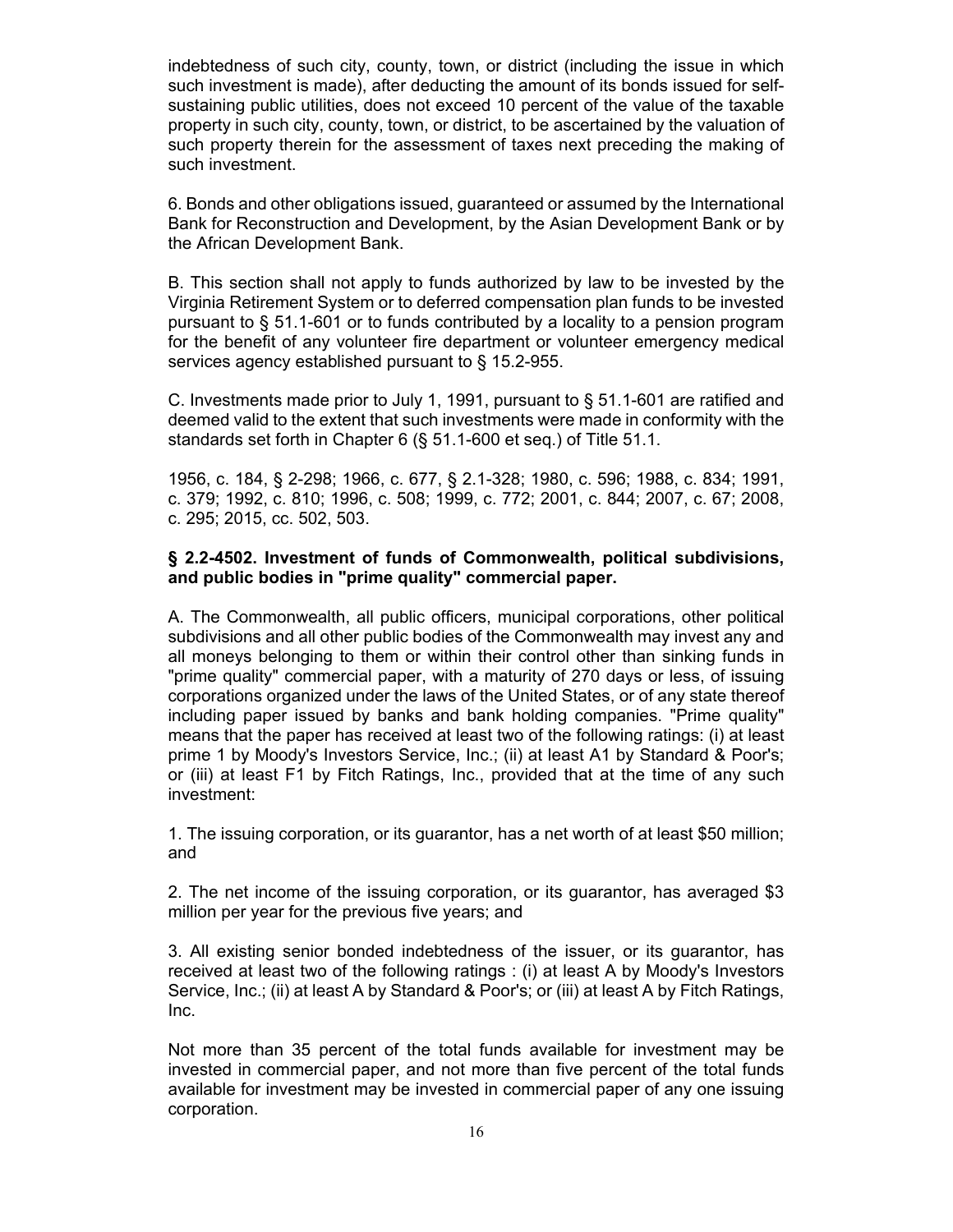indebtedness of such city, county, town, or district (including the issue in which such investment is made), after deducting the amount of its bonds issued for selfsustaining public utilities, does not exceed 10 percent of the value of the taxable property in such city, county, town, or district, to be ascertained by the valuation of such property therein for the assessment of taxes next preceding the making of such investment.

6. Bonds and other obligations issued, guaranteed or assumed by the International Bank for Reconstruction and Development, by the Asian Development Bank or by the African Development Bank.

B. This section shall not apply to funds authorized by law to be invested by the Virginia Retirement System or to deferred compensation plan funds to be invested pursuant to § 51.1-601 or to funds contributed by a locality to a pension program for the benefit of any volunteer fire department or volunteer emergency medical services agency established pursuant to § 15.2-955.

C. Investments made prior to July 1, 1991, pursuant to  $\S$  51.1-601 are ratified and deemed valid to the extent that such investments were made in conformity with the standards set forth in Chapter 6 (§ 51.1-600 et seq.) of Title 51.1.

1956, c. 184, § 2-298; 1966, c. 677, § 2.1-328; 1980, c. 596; 1988, c. 834; 1991, c. 379; 1992, c. 810; 1996, c. 508; 1999, c. 772; 2001, c. 844; 2007, c. 67; 2008, c. 295; 2015, cc. 502, 503.

### **§ 2.2-4502. Investment of funds of Commonwealth, political subdivisions, and public bodies in "prime quality" commercial paper.**

A. The Commonwealth, all public officers, municipal corporations, other political subdivisions and all other public bodies of the Commonwealth may invest any and all moneys belonging to them or within their control other than sinking funds in "prime quality" commercial paper, with a maturity of 270 days or less, of issuing corporations organized under the laws of the United States, or of any state thereof including paper issued by banks and bank holding companies. "Prime quality" means that the paper has received at least two of the following ratings: (i) at least prime 1 by Moody's Investors Service, Inc.; (ii) at least A1 by Standard & Poor's; or (iii) at least F1 by Fitch Ratings, Inc., provided that at the time of any such investment:

1. The issuing corporation, or its guarantor, has a net worth of at least \$50 million; and

2. The net income of the issuing corporation, or its guarantor, has averaged \$3 million per year for the previous five years; and

3. All existing senior bonded indebtedness of the issuer, or its guarantor, has received at least two of the following ratings : (i) at least A by Moody's Investors Service, Inc.; (ii) at least A by Standard & Poor's; or (iii) at least A by Fitch Ratings, Inc.

Not more than 35 percent of the total funds available for investment may be invested in commercial paper, and not more than five percent of the total funds available for investment may be invested in commercial paper of any one issuing corporation.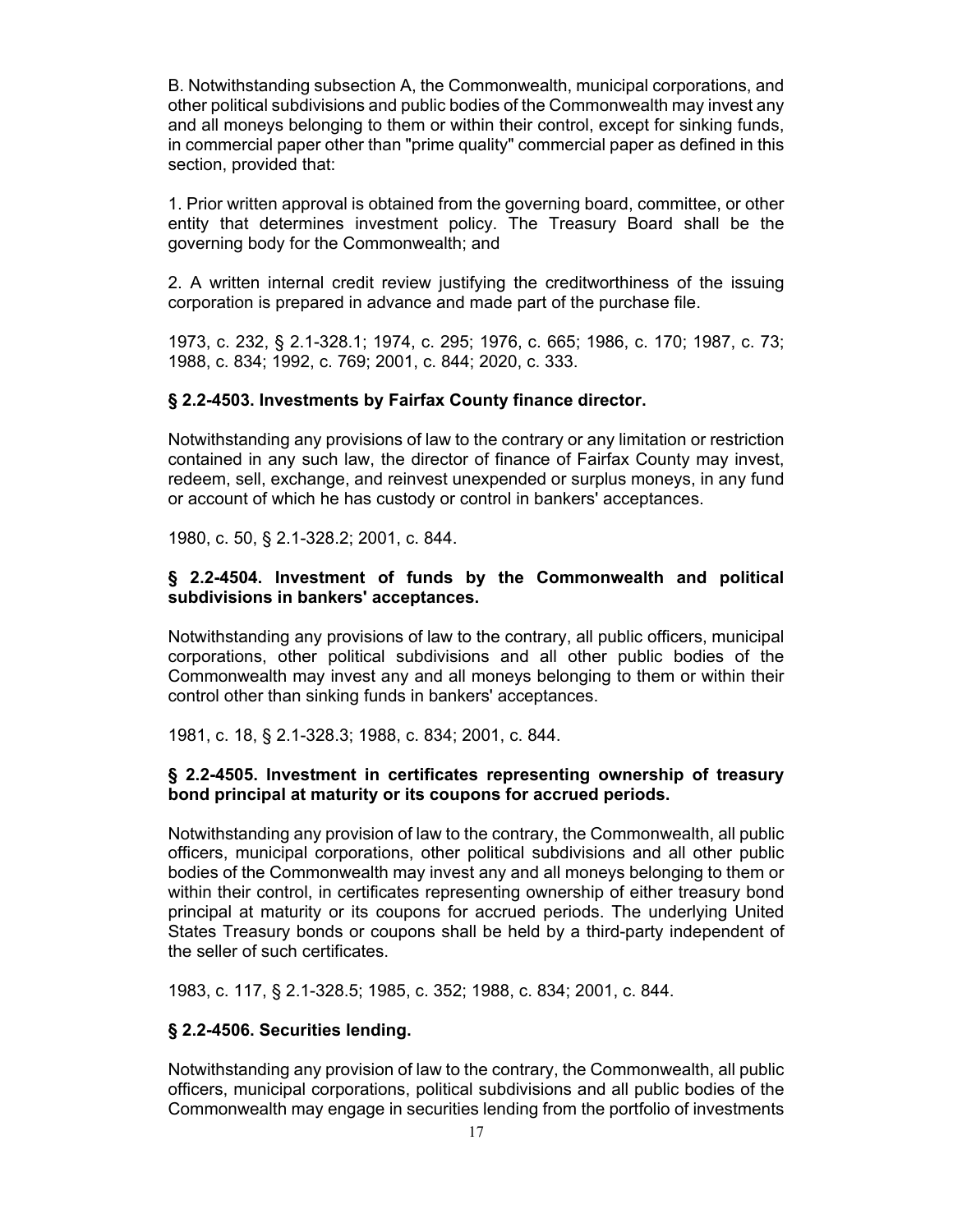B. Notwithstanding subsection A, the Commonwealth, municipal corporations, and other political subdivisions and public bodies of the Commonwealth may invest any and all moneys belonging to them or within their control, except for sinking funds, in commercial paper other than "prime quality" commercial paper as defined in this section, provided that:

1. Prior written approval is obtained from the governing board, committee, or other entity that determines investment policy. The Treasury Board shall be the governing body for the Commonwealth; and

2. A written internal credit review justifying the creditworthiness of the issuing corporation is prepared in advance and made part of the purchase file.

1973, c. 232, § 2.1-328.1; 1974, c. 295; 1976, c. 665; 1986, c. 170; 1987, c. 73; 1988, c. 834; 1992, c. 769; 2001, c. 844; 2020, c. 333.

#### **§ 2.2-4503. Investments by Fairfax County finance director.**

Notwithstanding any provisions of law to the contrary or any limitation or restriction contained in any such law, the director of finance of Fairfax County may invest, redeem, sell, exchange, and reinvest unexpended or surplus moneys, in any fund or account of which he has custody or control in bankers' acceptances.

1980, c. 50, § 2.1-328.2; 2001, c. 844.

### **§ 2.2-4504. Investment of funds by the Commonwealth and political subdivisions in bankers' acceptances.**

Notwithstanding any provisions of law to the contrary, all public officers, municipal corporations, other political subdivisions and all other public bodies of the Commonwealth may invest any and all moneys belonging to them or within their control other than sinking funds in bankers' acceptances.

1981, c. 18, § 2.1-328.3; 1988, c. 834; 2001, c. 844.

### **§ 2.2-4505. Investment in certificates representing ownership of treasury bond principal at maturity or its coupons for accrued periods.**

Notwithstanding any provision of law to the contrary, the Commonwealth, all public officers, municipal corporations, other political subdivisions and all other public bodies of the Commonwealth may invest any and all moneys belonging to them or within their control, in certificates representing ownership of either treasury bond principal at maturity or its coupons for accrued periods. The underlying United States Treasury bonds or coupons shall be held by a third-party independent of the seller of such certificates.

1983, c. 117, § 2.1-328.5; 1985, c. 352; 1988, c. 834; 2001, c. 844.

### **§ 2.2-4506. Securities lending.**

Notwithstanding any provision of law to the contrary, the Commonwealth, all public officers, municipal corporations, political subdivisions and all public bodies of the Commonwealth may engage in securities lending from the portfolio of investments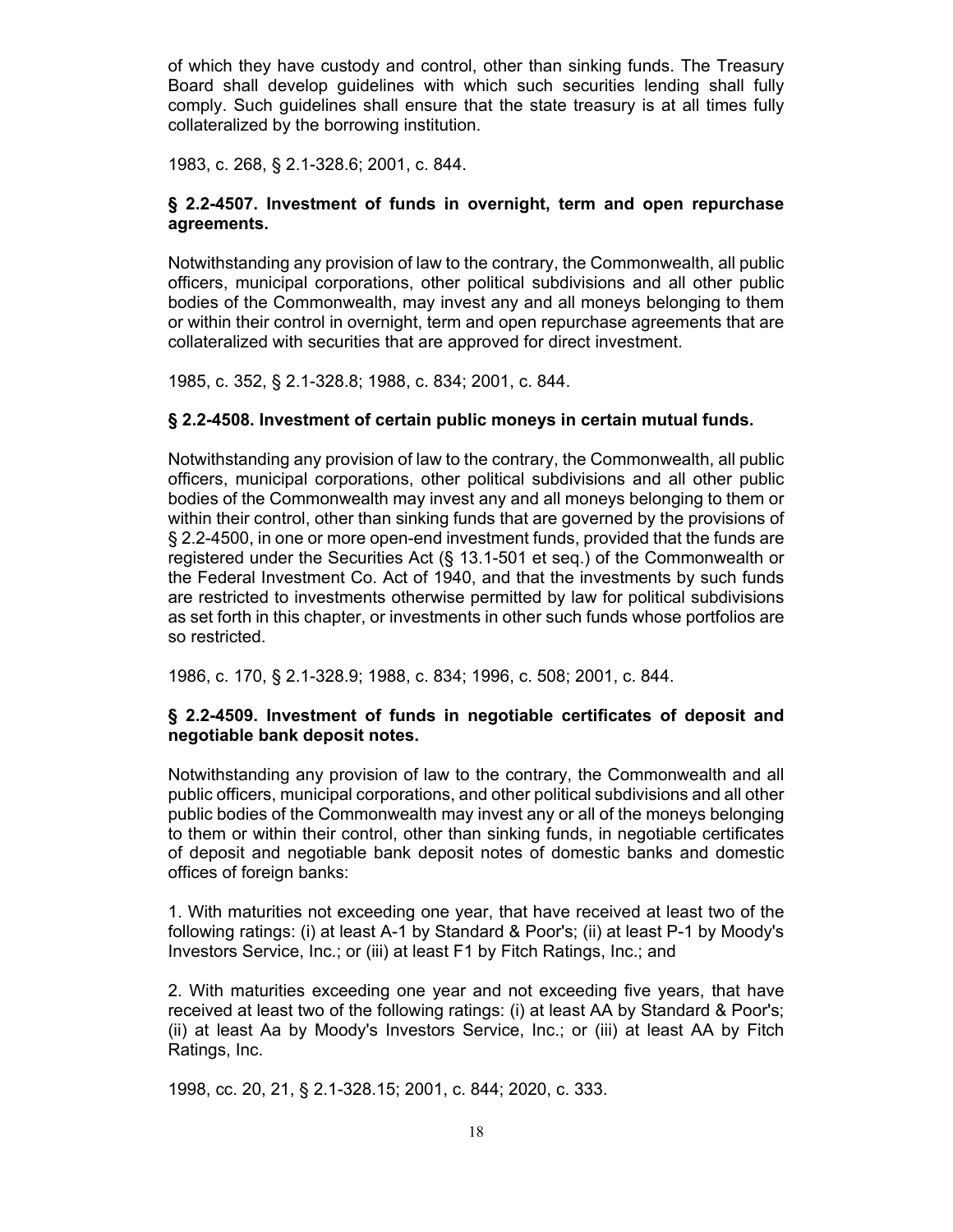of which they have custody and control, other than sinking funds. The Treasury Board shall develop guidelines with which such securities lending shall fully comply. Such guidelines shall ensure that the state treasury is at all times fully collateralized by the borrowing institution.

1983, c. 268, § 2.1-328.6; 2001, c. 844.

### **§ 2.2-4507. Investment of funds in overnight, term and open repurchase agreements.**

Notwithstanding any provision of law to the contrary, the Commonwealth, all public officers, municipal corporations, other political subdivisions and all other public bodies of the Commonwealth, may invest any and all moneys belonging to them or within their control in overnight, term and open repurchase agreements that are collateralized with securities that are approved for direct investment.

1985, c. 352, § 2.1-328.8; 1988, c. 834; 2001, c. 844.

### **§ 2.2-4508. Investment of certain public moneys in certain mutual funds.**

Notwithstanding any provision of law to the contrary, the Commonwealth, all public officers, municipal corporations, other political subdivisions and all other public bodies of the Commonwealth may invest any and all moneys belonging to them or within their control, other than sinking funds that are governed by the provisions of § 2.2-4500, in one or more open-end investment funds, provided that the funds are registered under the Securities Act (§ 13.1-501 et seq.) of the Commonwealth or the Federal Investment Co. Act of 1940, and that the investments by such funds are restricted to investments otherwise permitted by law for political subdivisions as set forth in this chapter, or investments in other such funds whose portfolios are so restricted.

1986, c. 170, § 2.1-328.9; 1988, c. 834; 1996, c. 508; 2001, c. 844.

### **§ 2.2-4509. Investment of funds in negotiable certificates of deposit and negotiable bank deposit notes.**

Notwithstanding any provision of law to the contrary, the Commonwealth and all public officers, municipal corporations, and other political subdivisions and all other public bodies of the Commonwealth may invest any or all of the moneys belonging to them or within their control, other than sinking funds, in negotiable certificates of deposit and negotiable bank deposit notes of domestic banks and domestic offices of foreign banks:

1. With maturities not exceeding one year, that have received at least two of the following ratings: (i) at least A-1 by Standard & Poor's; (ii) at least P-1 by Moody's Investors Service, Inc.; or (iii) at least F1 by Fitch Ratings, Inc.; and

2. With maturities exceeding one year and not exceeding five years, that have received at least two of the following ratings: (i) at least AA by Standard & Poor's; (ii) at least Aa by Moody's Investors Service, Inc.; or (iii) at least AA by Fitch Ratings, Inc.

1998, cc. 20, 21, § 2.1-328.15; 2001, c. 844; 2020, c. 333.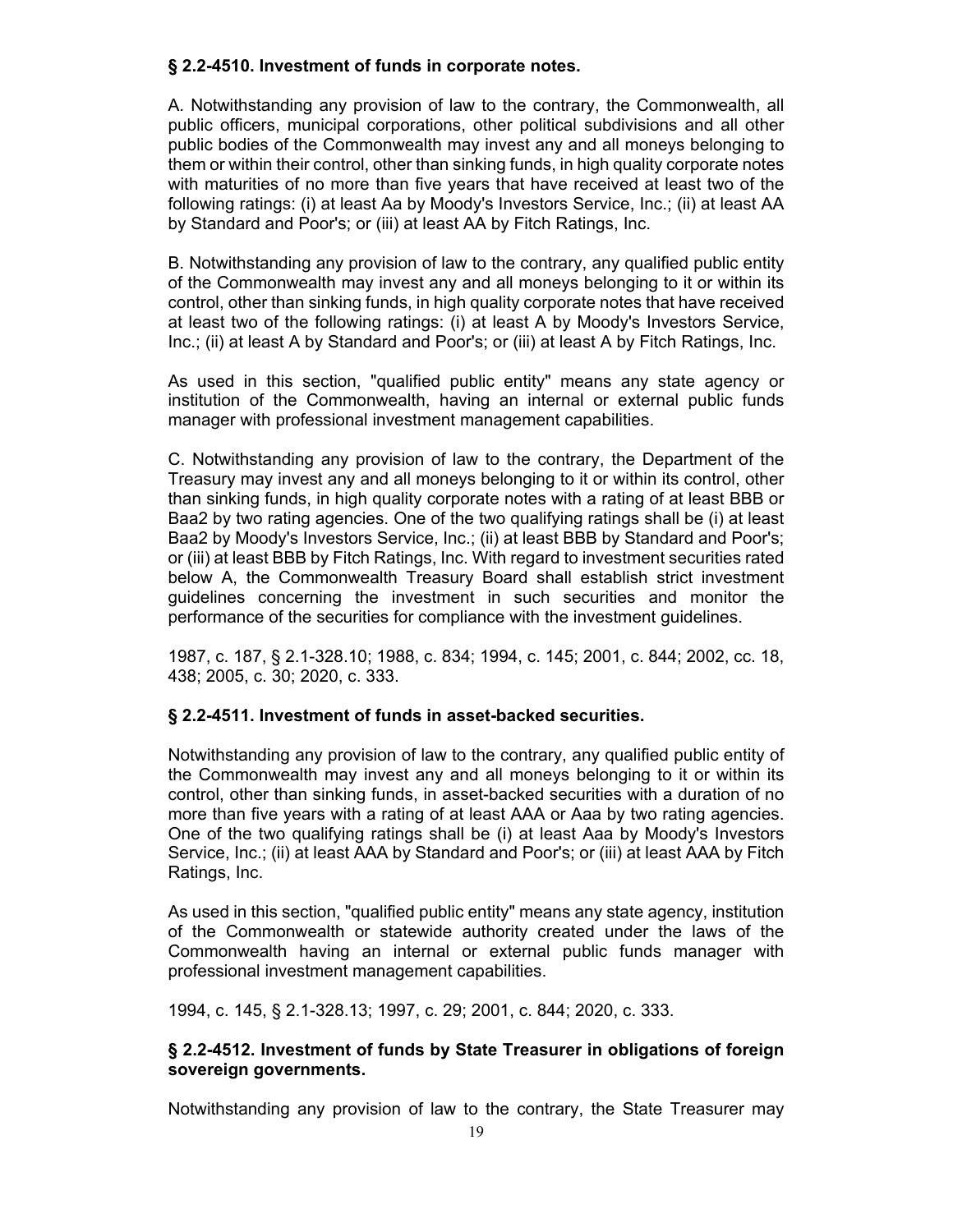### **§ 2.2-4510. Investment of funds in corporate notes.**

A. Notwithstanding any provision of law to the contrary, the Commonwealth, all public officers, municipal corporations, other political subdivisions and all other public bodies of the Commonwealth may invest any and all moneys belonging to them or within their control, other than sinking funds, in high quality corporate notes with maturities of no more than five years that have received at least two of the following ratings: (i) at least Aa by Moody's Investors Service, Inc.; (ii) at least AA by Standard and Poor's; or (iii) at least AA by Fitch Ratings, Inc.

B. Notwithstanding any provision of law to the contrary, any qualified public entity of the Commonwealth may invest any and all moneys belonging to it or within its control, other than sinking funds, in high quality corporate notes that have received at least two of the following ratings: (i) at least A by Moody's Investors Service, Inc.; (ii) at least A by Standard and Poor's; or (iii) at least A by Fitch Ratings, Inc.

As used in this section, "qualified public entity" means any state agency or institution of the Commonwealth, having an internal or external public funds manager with professional investment management capabilities.

C. Notwithstanding any provision of law to the contrary, the Department of the Treasury may invest any and all moneys belonging to it or within its control, other than sinking funds, in high quality corporate notes with a rating of at least BBB or Baa2 by two rating agencies. One of the two qualifying ratings shall be (i) at least Baa2 by Moody's Investors Service, Inc.; (ii) at least BBB by Standard and Poor's; or (iii) at least BBB by Fitch Ratings, Inc. With regard to investment securities rated below A, the Commonwealth Treasury Board shall establish strict investment guidelines concerning the investment in such securities and monitor the performance of the securities for compliance with the investment guidelines.

1987, c. 187, § 2.1-328.10; 1988, c. 834; 1994, c. 145; 2001, c. 844; 2002, cc. 18, 438; 2005, c. 30; 2020, c. 333.

### **§ 2.2-4511. Investment of funds in asset-backed securities.**

Notwithstanding any provision of law to the contrary, any qualified public entity of the Commonwealth may invest any and all moneys belonging to it or within its control, other than sinking funds, in asset-backed securities with a duration of no more than five years with a rating of at least AAA or Aaa by two rating agencies. One of the two qualifying ratings shall be (i) at least Aaa by Moody's Investors Service, Inc.; (ii) at least AAA by Standard and Poor's; or (iii) at least AAA by Fitch Ratings, Inc.

As used in this section, "qualified public entity" means any state agency, institution of the Commonwealth or statewide authority created under the laws of the Commonwealth having an internal or external public funds manager with professional investment management capabilities.

1994, c. 145, § 2.1-328.13; 1997, c. 29; 2001, c. 844; 2020, c. 333.

### **§ 2.2-4512. Investment of funds by State Treasurer in obligations of foreign sovereign governments.**

Notwithstanding any provision of law to the contrary, the State Treasurer may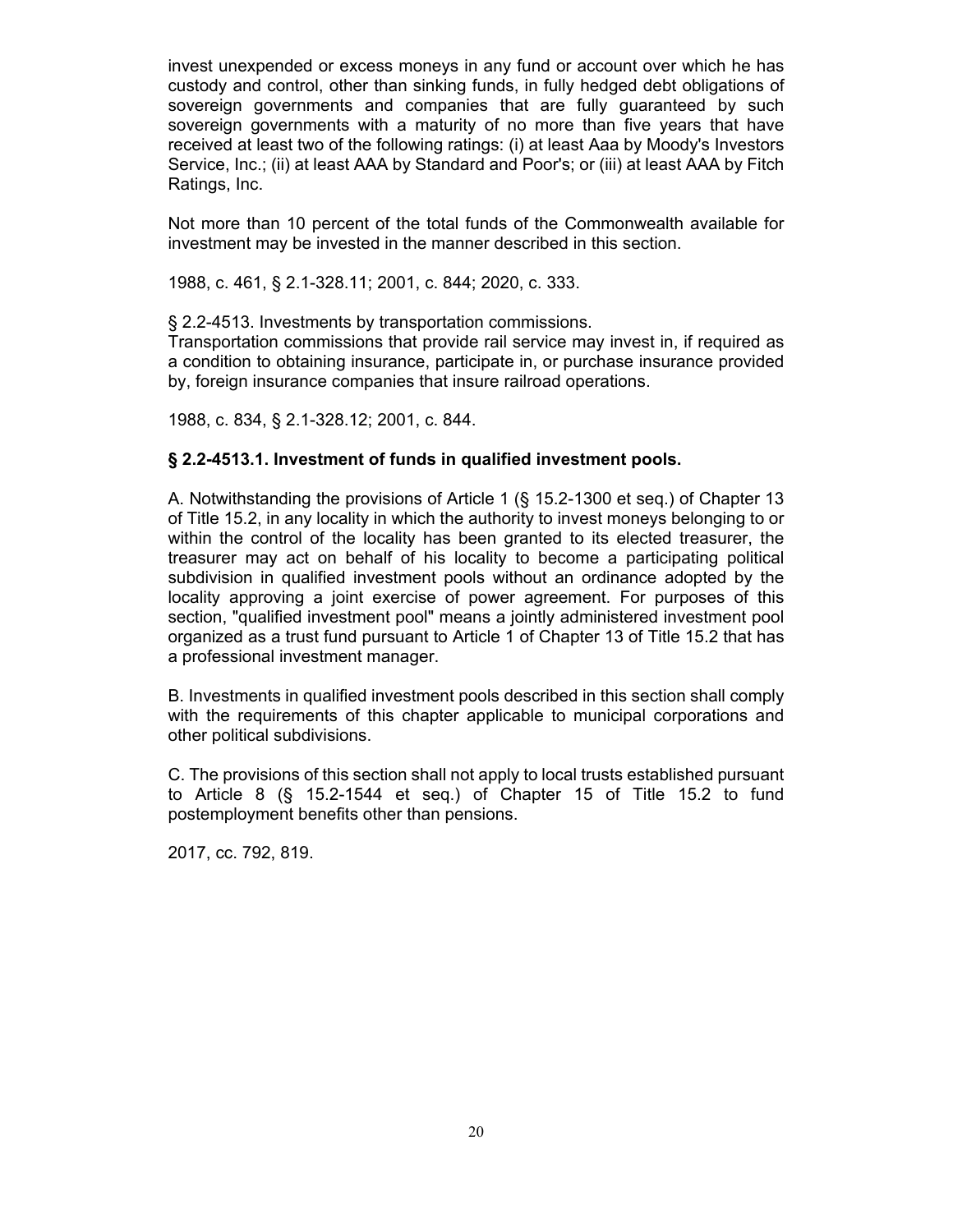invest unexpended or excess moneys in any fund or account over which he has custody and control, other than sinking funds, in fully hedged debt obligations of sovereign governments and companies that are fully guaranteed by such sovereign governments with a maturity of no more than five years that have received at least two of the following ratings: (i) at least Aaa by Moody's Investors Service, Inc.; (ii) at least AAA by Standard and Poor's; or (iii) at least AAA by Fitch Ratings, Inc.

Not more than 10 percent of the total funds of the Commonwealth available for investment may be invested in the manner described in this section.

1988, c. 461, § 2.1-328.11; 2001, c. 844; 2020, c. 333.

§ 2.2-4513. Investments by transportation commissions.

Transportation commissions that provide rail service may invest in, if required as a condition to obtaining insurance, participate in, or purchase insurance provided by, foreign insurance companies that insure railroad operations.

1988, c. 834, § 2.1-328.12; 2001, c. 844.

#### **§ 2.2-4513.1. Investment of funds in qualified investment pools.**

A. Notwithstanding the provisions of Article 1 (§ 15.2-1300 et seq.) of Chapter 13 of Title 15.2, in any locality in which the authority to invest moneys belonging to or within the control of the locality has been granted to its elected treasurer, the treasurer may act on behalf of his locality to become a participating political subdivision in qualified investment pools without an ordinance adopted by the locality approving a joint exercise of power agreement. For purposes of this section, "qualified investment pool" means a jointly administered investment pool organized as a trust fund pursuant to Article 1 of Chapter 13 of Title 15.2 that has a professional investment manager.

B. Investments in qualified investment pools described in this section shall comply with the requirements of this chapter applicable to municipal corporations and other political subdivisions.

C. The provisions of this section shall not apply to local trusts established pursuant to Article 8 (§ 15.2-1544 et seq.) of Chapter 15 of Title 15.2 to fund postemployment benefits other than pensions.

2017, cc. 792, 819.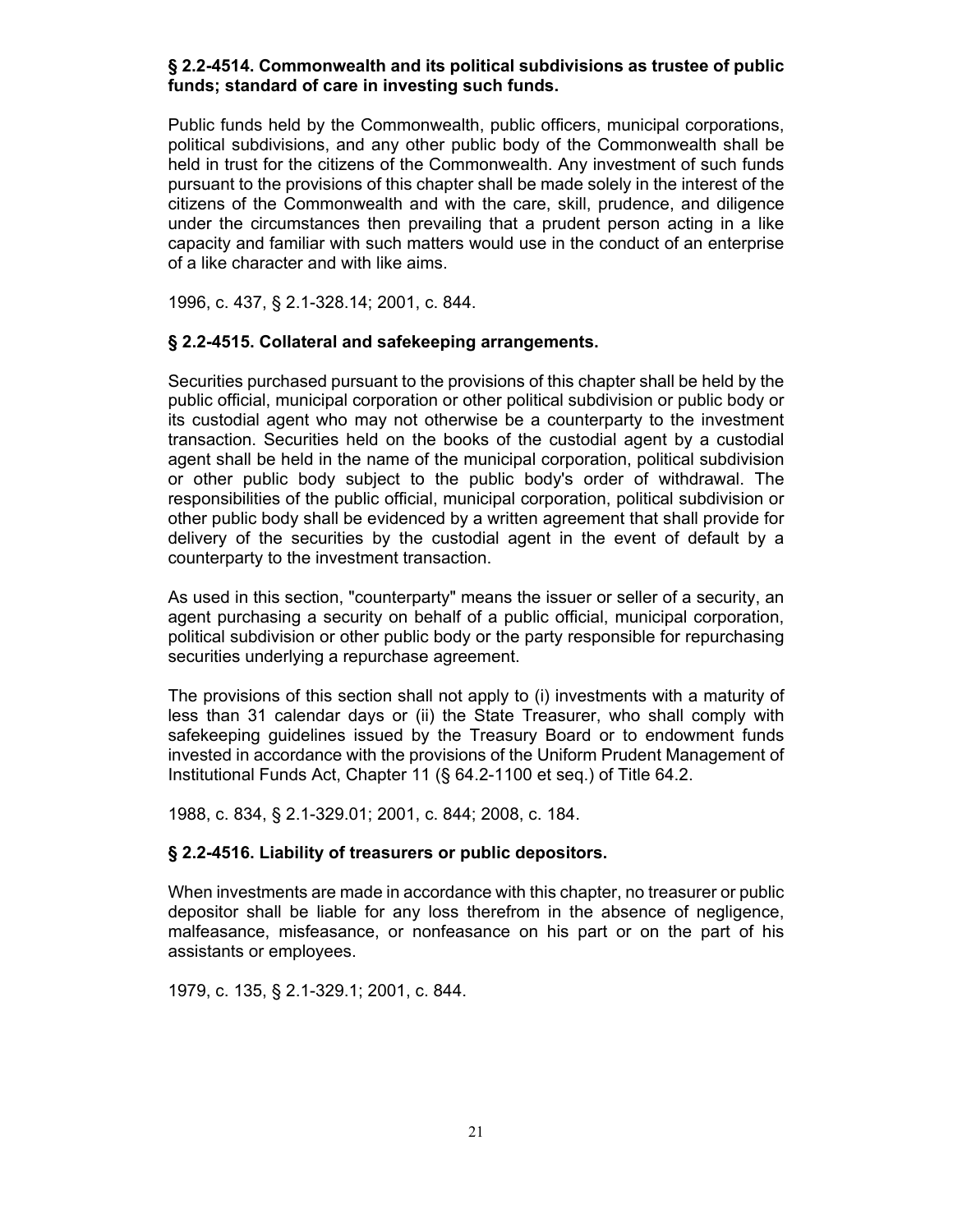### **§ 2.2-4514. Commonwealth and its political subdivisions as trustee of public funds; standard of care in investing such funds.**

Public funds held by the Commonwealth, public officers, municipal corporations, political subdivisions, and any other public body of the Commonwealth shall be held in trust for the citizens of the Commonwealth. Any investment of such funds pursuant to the provisions of this chapter shall be made solely in the interest of the citizens of the Commonwealth and with the care, skill, prudence, and diligence under the circumstances then prevailing that a prudent person acting in a like capacity and familiar with such matters would use in the conduct of an enterprise of a like character and with like aims.

1996, c. 437, § 2.1-328.14; 2001, c. 844.

### **§ 2.2-4515. Collateral and safekeeping arrangements.**

Securities purchased pursuant to the provisions of this chapter shall be held by the public official, municipal corporation or other political subdivision or public body or its custodial agent who may not otherwise be a counterparty to the investment transaction. Securities held on the books of the custodial agent by a custodial agent shall be held in the name of the municipal corporation, political subdivision or other public body subject to the public body's order of withdrawal. The responsibilities of the public official, municipal corporation, political subdivision or other public body shall be evidenced by a written agreement that shall provide for delivery of the securities by the custodial agent in the event of default by a counterparty to the investment transaction.

As used in this section, "counterparty" means the issuer or seller of a security, an agent purchasing a security on behalf of a public official, municipal corporation, political subdivision or other public body or the party responsible for repurchasing securities underlying a repurchase agreement.

The provisions of this section shall not apply to (i) investments with a maturity of less than 31 calendar days or (ii) the State Treasurer, who shall comply with safekeeping guidelines issued by the Treasury Board or to endowment funds invested in accordance with the provisions of the Uniform Prudent Management of Institutional Funds Act, Chapter 11 (§ 64.2-1100 et seq.) of Title 64.2.

1988, c. 834, § 2.1-329.01; 2001, c. 844; 2008, c. 184.

### **§ 2.2-4516. Liability of treasurers or public depositors.**

When investments are made in accordance with this chapter, no treasurer or public depositor shall be liable for any loss therefrom in the absence of negligence, malfeasance, misfeasance, or nonfeasance on his part or on the part of his assistants or employees.

1979, c. 135, § 2.1-329.1; 2001, c. 844.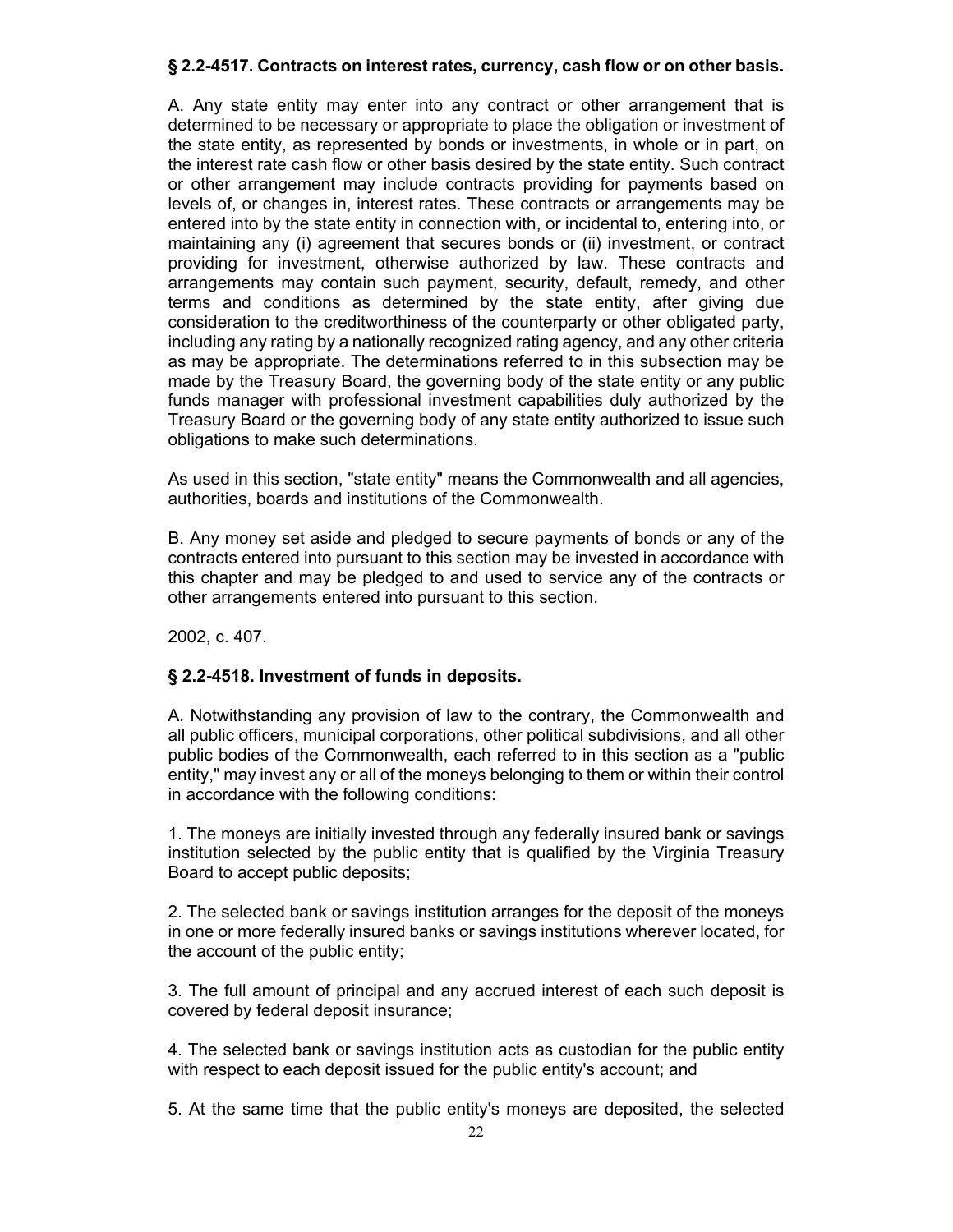### **§ 2.2-4517. Contracts on interest rates, currency, cash flow or on other basis.**

A. Any state entity may enter into any contract or other arrangement that is determined to be necessary or appropriate to place the obligation or investment of the state entity, as represented by bonds or investments, in whole or in part, on the interest rate cash flow or other basis desired by the state entity. Such contract or other arrangement may include contracts providing for payments based on levels of, or changes in, interest rates. These contracts or arrangements may be entered into by the state entity in connection with, or incidental to, entering into, or maintaining any (i) agreement that secures bonds or (ii) investment, or contract providing for investment, otherwise authorized by law. These contracts and arrangements may contain such payment, security, default, remedy, and other terms and conditions as determined by the state entity, after giving due consideration to the creditworthiness of the counterparty or other obligated party, including any rating by a nationally recognized rating agency, and any other criteria as may be appropriate. The determinations referred to in this subsection may be made by the Treasury Board, the governing body of the state entity or any public funds manager with professional investment capabilities duly authorized by the Treasury Board or the governing body of any state entity authorized to issue such obligations to make such determinations.

As used in this section, "state entity" means the Commonwealth and all agencies, authorities, boards and institutions of the Commonwealth.

B. Any money set aside and pledged to secure payments of bonds or any of the contracts entered into pursuant to this section may be invested in accordance with this chapter and may be pledged to and used to service any of the contracts or other arrangements entered into pursuant to this section.

2002, c. 407.

## **§ 2.2-4518. Investment of funds in deposits.**

A. Notwithstanding any provision of law to the contrary, the Commonwealth and all public officers, municipal corporations, other political subdivisions, and all other public bodies of the Commonwealth, each referred to in this section as a "public entity," may invest any or all of the moneys belonging to them or within their control in accordance with the following conditions:

1. The moneys are initially invested through any federally insured bank or savings institution selected by the public entity that is qualified by the Virginia Treasury Board to accept public deposits;

2. The selected bank or savings institution arranges for the deposit of the moneys in one or more federally insured banks or savings institutions wherever located, for the account of the public entity;

3. The full amount of principal and any accrued interest of each such deposit is covered by federal deposit insurance;

4. The selected bank or savings institution acts as custodian for the public entity with respect to each deposit issued for the public entity's account; and

5. At the same time that the public entity's moneys are deposited, the selected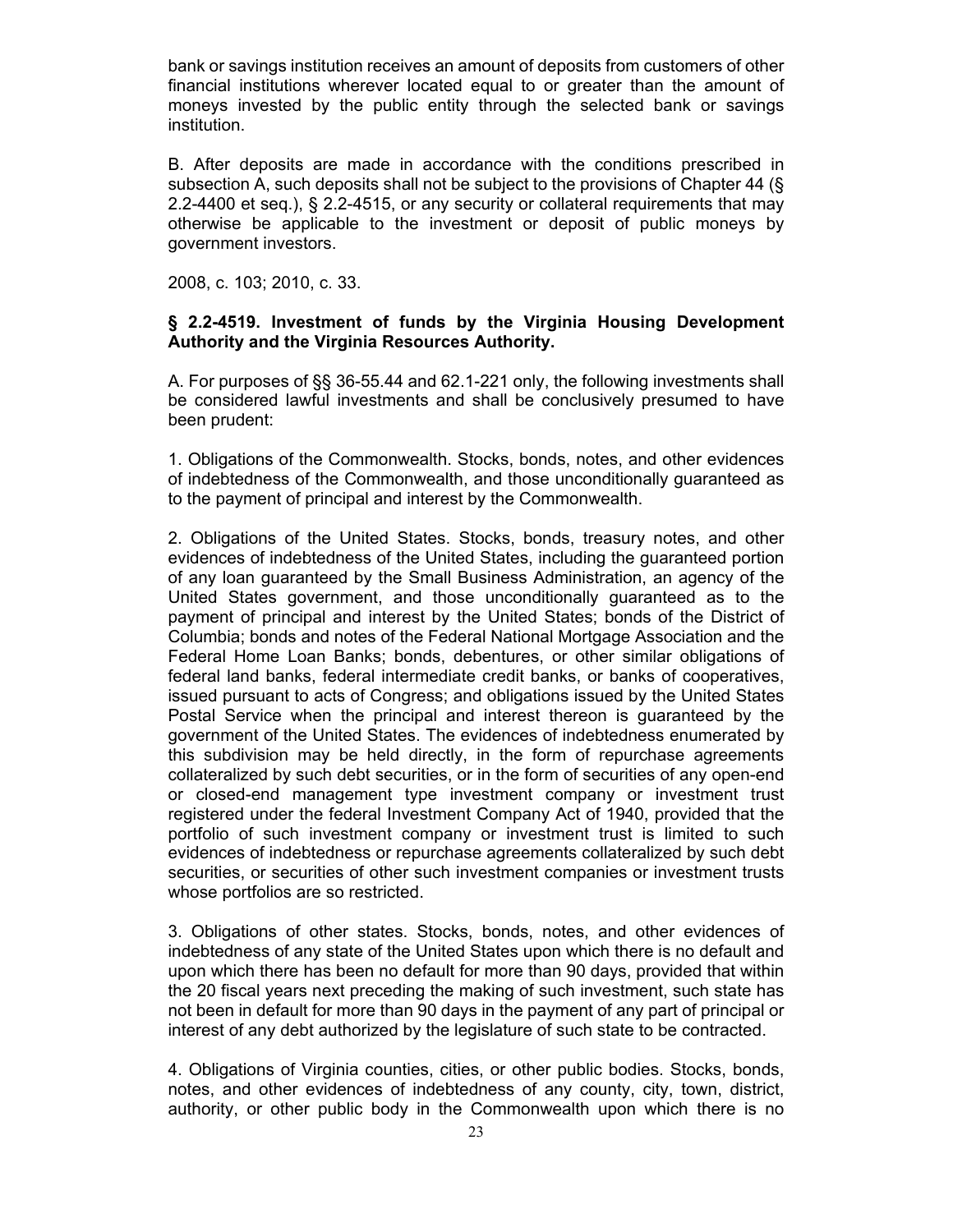bank or savings institution receives an amount of deposits from customers of other financial institutions wherever located equal to or greater than the amount of moneys invested by the public entity through the selected bank or savings institution.

B. After deposits are made in accordance with the conditions prescribed in subsection A, such deposits shall not be subject to the provisions of Chapter 44 (§ 2.2-4400 et seq.), § 2.2-4515, or any security or collateral requirements that may otherwise be applicable to the investment or deposit of public moneys by government investors.

2008, c. 103; 2010, c. 33.

### **§ 2.2-4519. Investment of funds by the Virginia Housing Development Authority and the Virginia Resources Authority.**

A. For purposes of §§ 36-55.44 and 62.1-221 only, the following investments shall be considered lawful investments and shall be conclusively presumed to have been prudent:

1. Obligations of the Commonwealth. Stocks, bonds, notes, and other evidences of indebtedness of the Commonwealth, and those unconditionally guaranteed as to the payment of principal and interest by the Commonwealth.

2. Obligations of the United States. Stocks, bonds, treasury notes, and other evidences of indebtedness of the United States, including the guaranteed portion of any loan guaranteed by the Small Business Administration, an agency of the United States government, and those unconditionally guaranteed as to the payment of principal and interest by the United States; bonds of the District of Columbia; bonds and notes of the Federal National Mortgage Association and the Federal Home Loan Banks; bonds, debentures, or other similar obligations of federal land banks, federal intermediate credit banks, or banks of cooperatives, issued pursuant to acts of Congress; and obligations issued by the United States Postal Service when the principal and interest thereon is guaranteed by the government of the United States. The evidences of indebtedness enumerated by this subdivision may be held directly, in the form of repurchase agreements collateralized by such debt securities, or in the form of securities of any open-end or closed-end management type investment company or investment trust registered under the federal Investment Company Act of 1940, provided that the portfolio of such investment company or investment trust is limited to such evidences of indebtedness or repurchase agreements collateralized by such debt securities, or securities of other such investment companies or investment trusts whose portfolios are so restricted.

3. Obligations of other states. Stocks, bonds, notes, and other evidences of indebtedness of any state of the United States upon which there is no default and upon which there has been no default for more than 90 days, provided that within the 20 fiscal years next preceding the making of such investment, such state has not been in default for more than 90 days in the payment of any part of principal or interest of any debt authorized by the legislature of such state to be contracted.

4. Obligations of Virginia counties, cities, or other public bodies. Stocks, bonds, notes, and other evidences of indebtedness of any county, city, town, district, authority, or other public body in the Commonwealth upon which there is no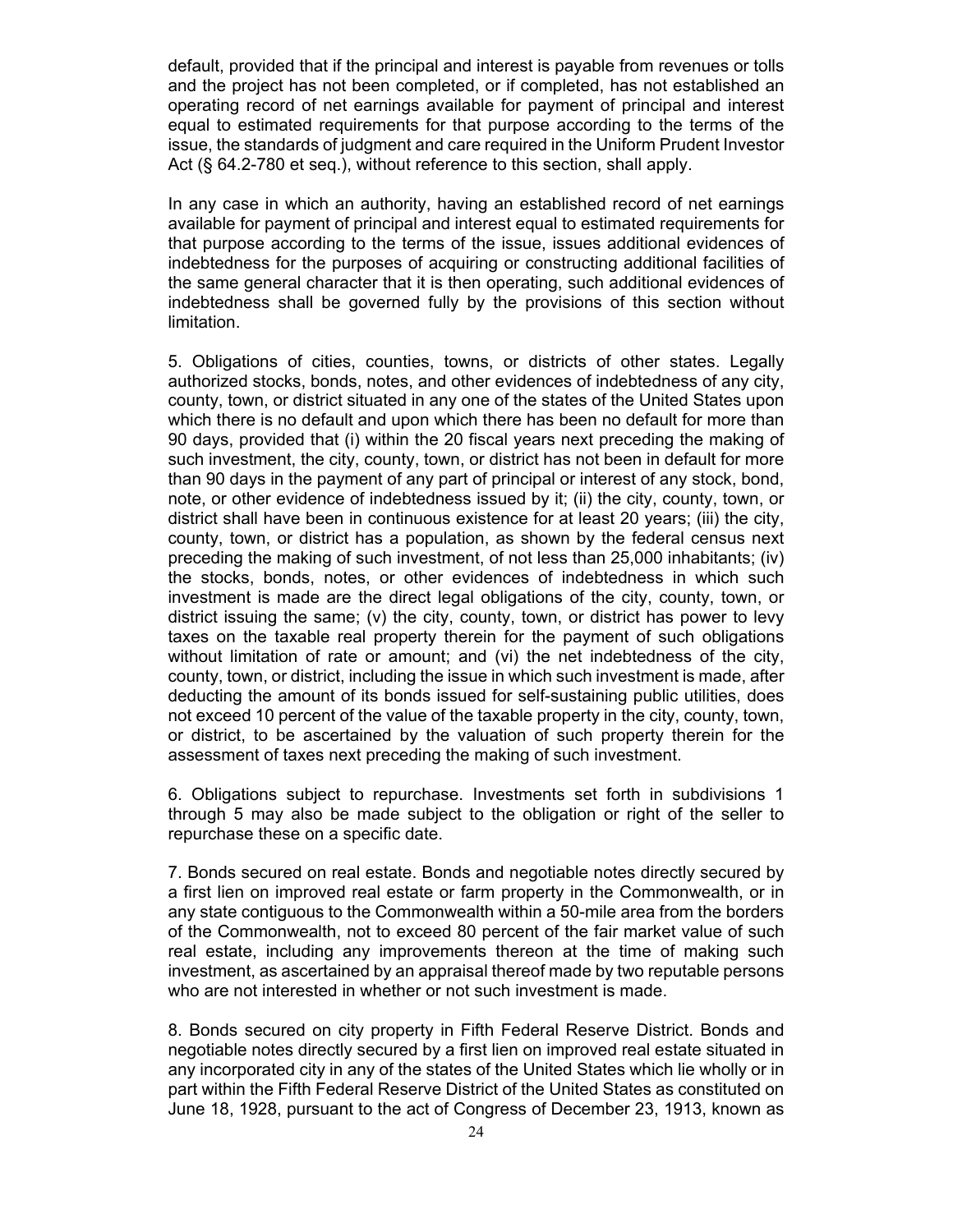default, provided that if the principal and interest is payable from revenues or tolls and the project has not been completed, or if completed, has not established an operating record of net earnings available for payment of principal and interest equal to estimated requirements for that purpose according to the terms of the issue, the standards of judgment and care required in the Uniform Prudent Investor Act (§ 64.2-780 et seq.), without reference to this section, shall apply.

In any case in which an authority, having an established record of net earnings available for payment of principal and interest equal to estimated requirements for that purpose according to the terms of the issue, issues additional evidences of indebtedness for the purposes of acquiring or constructing additional facilities of the same general character that it is then operating, such additional evidences of indebtedness shall be governed fully by the provisions of this section without limitation.

5. Obligations of cities, counties, towns, or districts of other states. Legally authorized stocks, bonds, notes, and other evidences of indebtedness of any city, county, town, or district situated in any one of the states of the United States upon which there is no default and upon which there has been no default for more than 90 days, provided that (i) within the 20 fiscal years next preceding the making of such investment, the city, county, town, or district has not been in default for more than 90 days in the payment of any part of principal or interest of any stock, bond, note, or other evidence of indebtedness issued by it; (ii) the city, county, town, or district shall have been in continuous existence for at least 20 years; (iii) the city, county, town, or district has a population, as shown by the federal census next preceding the making of such investment, of not less than 25,000 inhabitants; (iv) the stocks, bonds, notes, or other evidences of indebtedness in which such investment is made are the direct legal obligations of the city, county, town, or district issuing the same; (v) the city, county, town, or district has power to levy taxes on the taxable real property therein for the payment of such obligations without limitation of rate or amount; and (vi) the net indebtedness of the city, county, town, or district, including the issue in which such investment is made, after deducting the amount of its bonds issued for self-sustaining public utilities, does not exceed 10 percent of the value of the taxable property in the city, county, town, or district, to be ascertained by the valuation of such property therein for the assessment of taxes next preceding the making of such investment.

6. Obligations subject to repurchase. Investments set forth in subdivisions 1 through 5 may also be made subject to the obligation or right of the seller to repurchase these on a specific date.

7. Bonds secured on real estate. Bonds and negotiable notes directly secured by a first lien on improved real estate or farm property in the Commonwealth, or in any state contiguous to the Commonwealth within a 50-mile area from the borders of the Commonwealth, not to exceed 80 percent of the fair market value of such real estate, including any improvements thereon at the time of making such investment, as ascertained by an appraisal thereof made by two reputable persons who are not interested in whether or not such investment is made.

8. Bonds secured on city property in Fifth Federal Reserve District. Bonds and negotiable notes directly secured by a first lien on improved real estate situated in any incorporated city in any of the states of the United States which lie wholly or in part within the Fifth Federal Reserve District of the United States as constituted on June 18, 1928, pursuant to the act of Congress of December 23, 1913, known as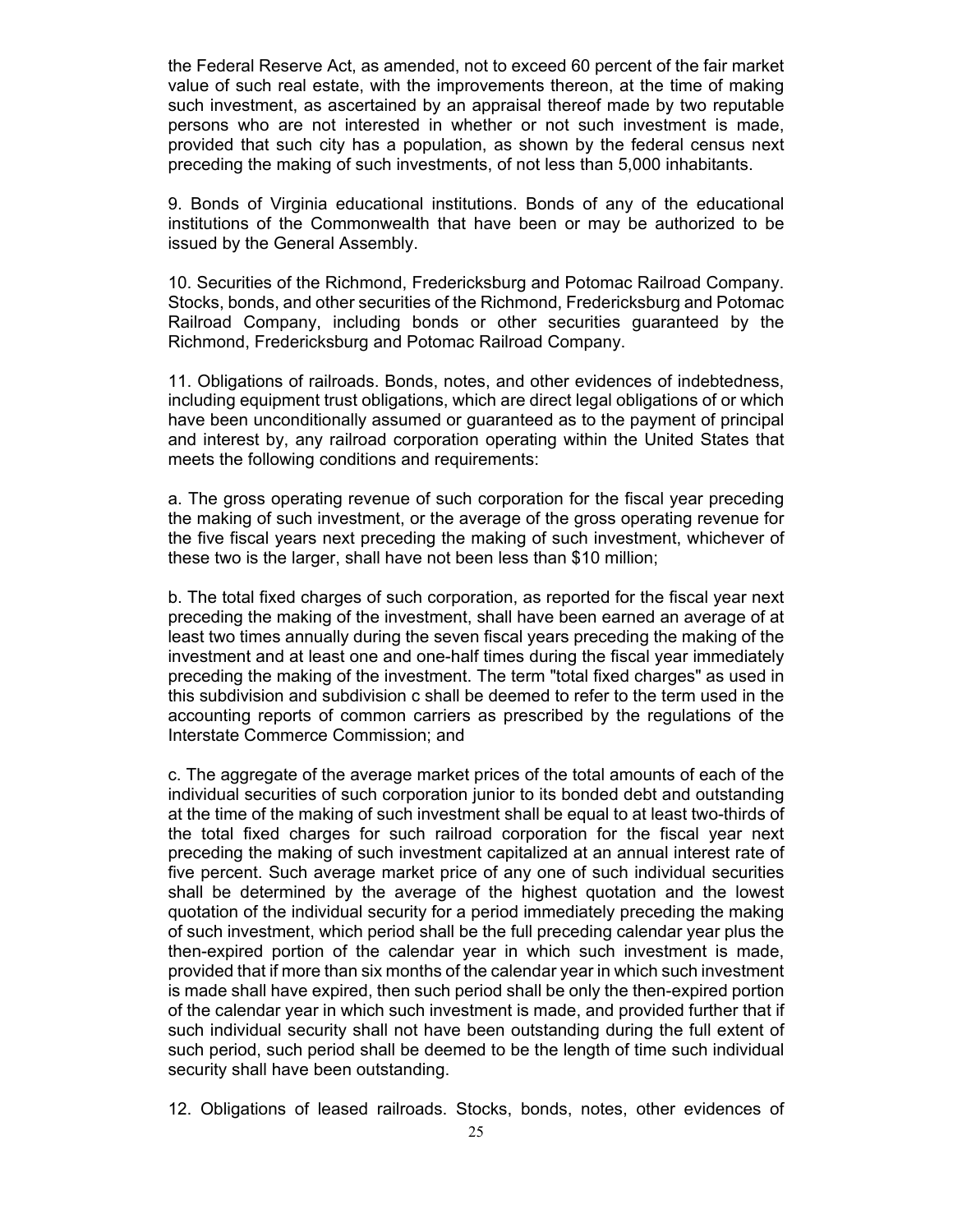the Federal Reserve Act, as amended, not to exceed 60 percent of the fair market value of such real estate, with the improvements thereon, at the time of making such investment, as ascertained by an appraisal thereof made by two reputable persons who are not interested in whether or not such investment is made, provided that such city has a population, as shown by the federal census next preceding the making of such investments, of not less than 5,000 inhabitants.

9. Bonds of Virginia educational institutions. Bonds of any of the educational institutions of the Commonwealth that have been or may be authorized to be issued by the General Assembly.

10. Securities of the Richmond, Fredericksburg and Potomac Railroad Company. Stocks, bonds, and other securities of the Richmond, Fredericksburg and Potomac Railroad Company, including bonds or other securities guaranteed by the Richmond, Fredericksburg and Potomac Railroad Company.

11. Obligations of railroads. Bonds, notes, and other evidences of indebtedness, including equipment trust obligations, which are direct legal obligations of or which have been unconditionally assumed or guaranteed as to the payment of principal and interest by, any railroad corporation operating within the United States that meets the following conditions and requirements:

a. The gross operating revenue of such corporation for the fiscal year preceding the making of such investment, or the average of the gross operating revenue for the five fiscal years next preceding the making of such investment, whichever of these two is the larger, shall have not been less than \$10 million;

b. The total fixed charges of such corporation, as reported for the fiscal year next preceding the making of the investment, shall have been earned an average of at least two times annually during the seven fiscal years preceding the making of the investment and at least one and one-half times during the fiscal year immediately preceding the making of the investment. The term "total fixed charges" as used in this subdivision and subdivision c shall be deemed to refer to the term used in the accounting reports of common carriers as prescribed by the regulations of the Interstate Commerce Commission; and

c. The aggregate of the average market prices of the total amounts of each of the individual securities of such corporation junior to its bonded debt and outstanding at the time of the making of such investment shall be equal to at least two-thirds of the total fixed charges for such railroad corporation for the fiscal year next preceding the making of such investment capitalized at an annual interest rate of five percent. Such average market price of any one of such individual securities shall be determined by the average of the highest quotation and the lowest quotation of the individual security for a period immediately preceding the making of such investment, which period shall be the full preceding calendar year plus the then-expired portion of the calendar year in which such investment is made, provided that if more than six months of the calendar year in which such investment is made shall have expired, then such period shall be only the then-expired portion of the calendar year in which such investment is made, and provided further that if such individual security shall not have been outstanding during the full extent of such period, such period shall be deemed to be the length of time such individual security shall have been outstanding.

12. Obligations of leased railroads. Stocks, bonds, notes, other evidences of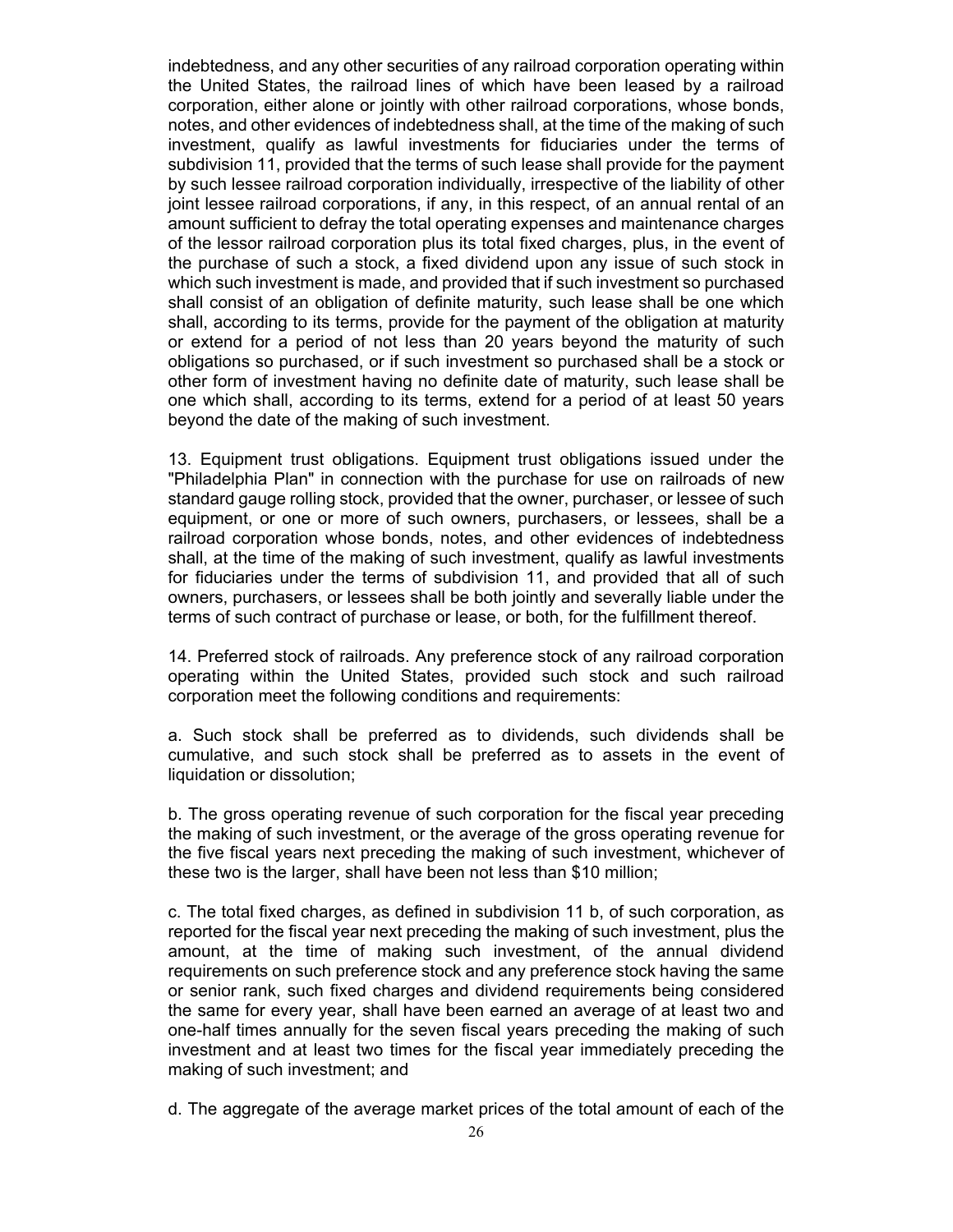indebtedness, and any other securities of any railroad corporation operating within the United States, the railroad lines of which have been leased by a railroad corporation, either alone or jointly with other railroad corporations, whose bonds, notes, and other evidences of indebtedness shall, at the time of the making of such investment, qualify as lawful investments for fiduciaries under the terms of subdivision 11, provided that the terms of such lease shall provide for the payment by such lessee railroad corporation individually, irrespective of the liability of other joint lessee railroad corporations, if any, in this respect, of an annual rental of an amount sufficient to defray the total operating expenses and maintenance charges of the lessor railroad corporation plus its total fixed charges, plus, in the event of the purchase of such a stock, a fixed dividend upon any issue of such stock in which such investment is made, and provided that if such investment so purchased shall consist of an obligation of definite maturity, such lease shall be one which shall, according to its terms, provide for the payment of the obligation at maturity or extend for a period of not less than 20 years beyond the maturity of such obligations so purchased, or if such investment so purchased shall be a stock or other form of investment having no definite date of maturity, such lease shall be one which shall, according to its terms, extend for a period of at least 50 years beyond the date of the making of such investment.

13. Equipment trust obligations. Equipment trust obligations issued under the "Philadelphia Plan" in connection with the purchase for use on railroads of new standard gauge rolling stock, provided that the owner, purchaser, or lessee of such equipment, or one or more of such owners, purchasers, or lessees, shall be a railroad corporation whose bonds, notes, and other evidences of indebtedness shall, at the time of the making of such investment, qualify as lawful investments for fiduciaries under the terms of subdivision 11, and provided that all of such owners, purchasers, or lessees shall be both jointly and severally liable under the terms of such contract of purchase or lease, or both, for the fulfillment thereof.

14. Preferred stock of railroads. Any preference stock of any railroad corporation operating within the United States, provided such stock and such railroad corporation meet the following conditions and requirements:

a. Such stock shall be preferred as to dividends, such dividends shall be cumulative, and such stock shall be preferred as to assets in the event of liquidation or dissolution;

b. The gross operating revenue of such corporation for the fiscal year preceding the making of such investment, or the average of the gross operating revenue for the five fiscal years next preceding the making of such investment, whichever of these two is the larger, shall have been not less than \$10 million;

c. The total fixed charges, as defined in subdivision 11 b, of such corporation, as reported for the fiscal year next preceding the making of such investment, plus the amount, at the time of making such investment, of the annual dividend requirements on such preference stock and any preference stock having the same or senior rank, such fixed charges and dividend requirements being considered the same for every year, shall have been earned an average of at least two and one-half times annually for the seven fiscal years preceding the making of such investment and at least two times for the fiscal year immediately preceding the making of such investment; and

d. The aggregate of the average market prices of the total amount of each of the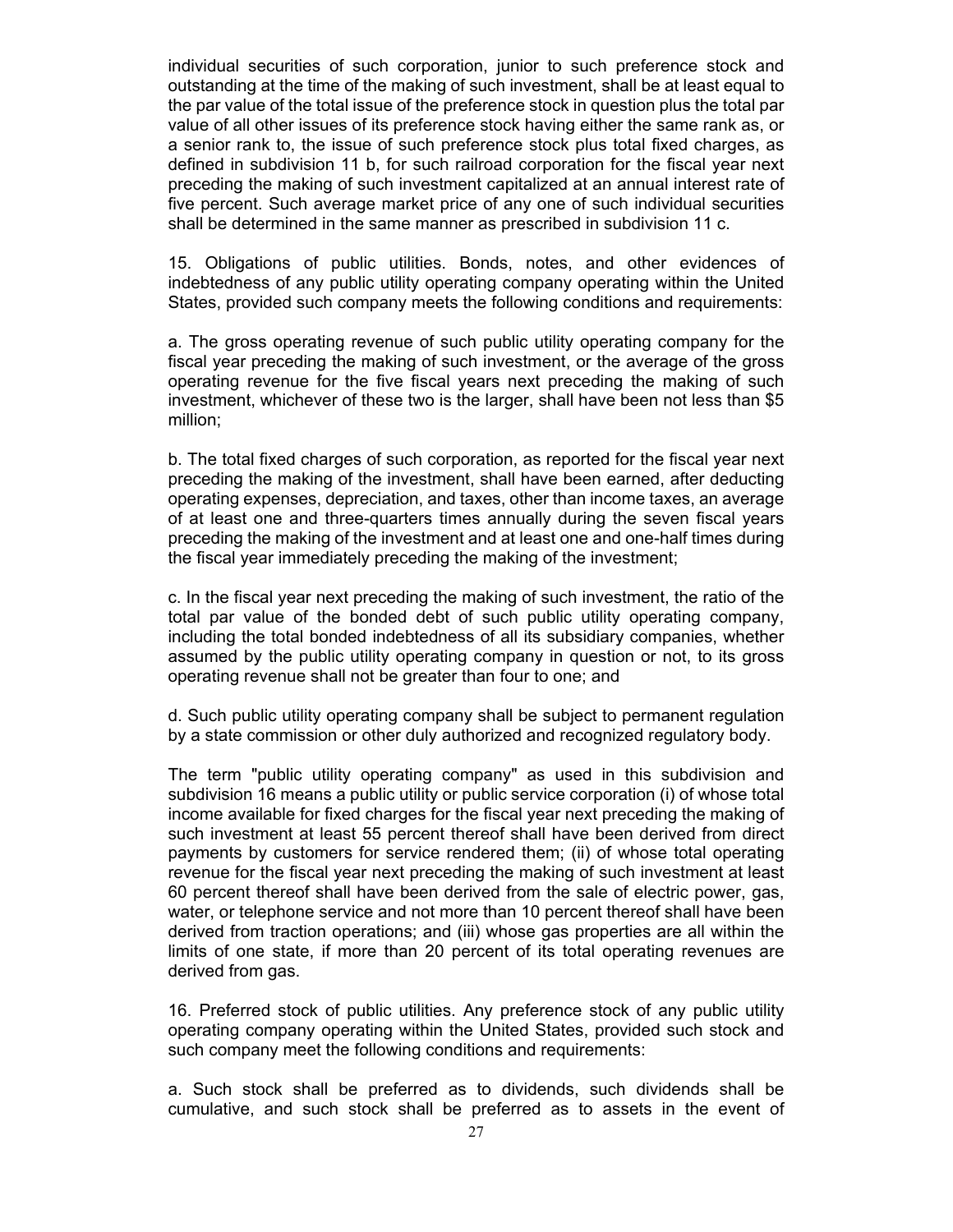individual securities of such corporation, junior to such preference stock and outstanding at the time of the making of such investment, shall be at least equal to the par value of the total issue of the preference stock in question plus the total par value of all other issues of its preference stock having either the same rank as, or a senior rank to, the issue of such preference stock plus total fixed charges, as defined in subdivision 11 b, for such railroad corporation for the fiscal year next preceding the making of such investment capitalized at an annual interest rate of five percent. Such average market price of any one of such individual securities shall be determined in the same manner as prescribed in subdivision 11 c.

15. Obligations of public utilities. Bonds, notes, and other evidences of indebtedness of any public utility operating company operating within the United States, provided such company meets the following conditions and requirements:

a. The gross operating revenue of such public utility operating company for the fiscal year preceding the making of such investment, or the average of the gross operating revenue for the five fiscal years next preceding the making of such investment, whichever of these two is the larger, shall have been not less than \$5 million;

b. The total fixed charges of such corporation, as reported for the fiscal year next preceding the making of the investment, shall have been earned, after deducting operating expenses, depreciation, and taxes, other than income taxes, an average of at least one and three-quarters times annually during the seven fiscal years preceding the making of the investment and at least one and one-half times during the fiscal year immediately preceding the making of the investment;

c. In the fiscal year next preceding the making of such investment, the ratio of the total par value of the bonded debt of such public utility operating company, including the total bonded indebtedness of all its subsidiary companies, whether assumed by the public utility operating company in question or not, to its gross operating revenue shall not be greater than four to one; and

d. Such public utility operating company shall be subject to permanent regulation by a state commission or other duly authorized and recognized regulatory body.

The term "public utility operating company" as used in this subdivision and subdivision 16 means a public utility or public service corporation (i) of whose total income available for fixed charges for the fiscal year next preceding the making of such investment at least 55 percent thereof shall have been derived from direct payments by customers for service rendered them; (ii) of whose total operating revenue for the fiscal year next preceding the making of such investment at least 60 percent thereof shall have been derived from the sale of electric power, gas, water, or telephone service and not more than 10 percent thereof shall have been derived from traction operations; and (iii) whose gas properties are all within the limits of one state, if more than 20 percent of its total operating revenues are derived from gas.

16. Preferred stock of public utilities. Any preference stock of any public utility operating company operating within the United States, provided such stock and such company meet the following conditions and requirements:

a. Such stock shall be preferred as to dividends, such dividends shall be cumulative, and such stock shall be preferred as to assets in the event of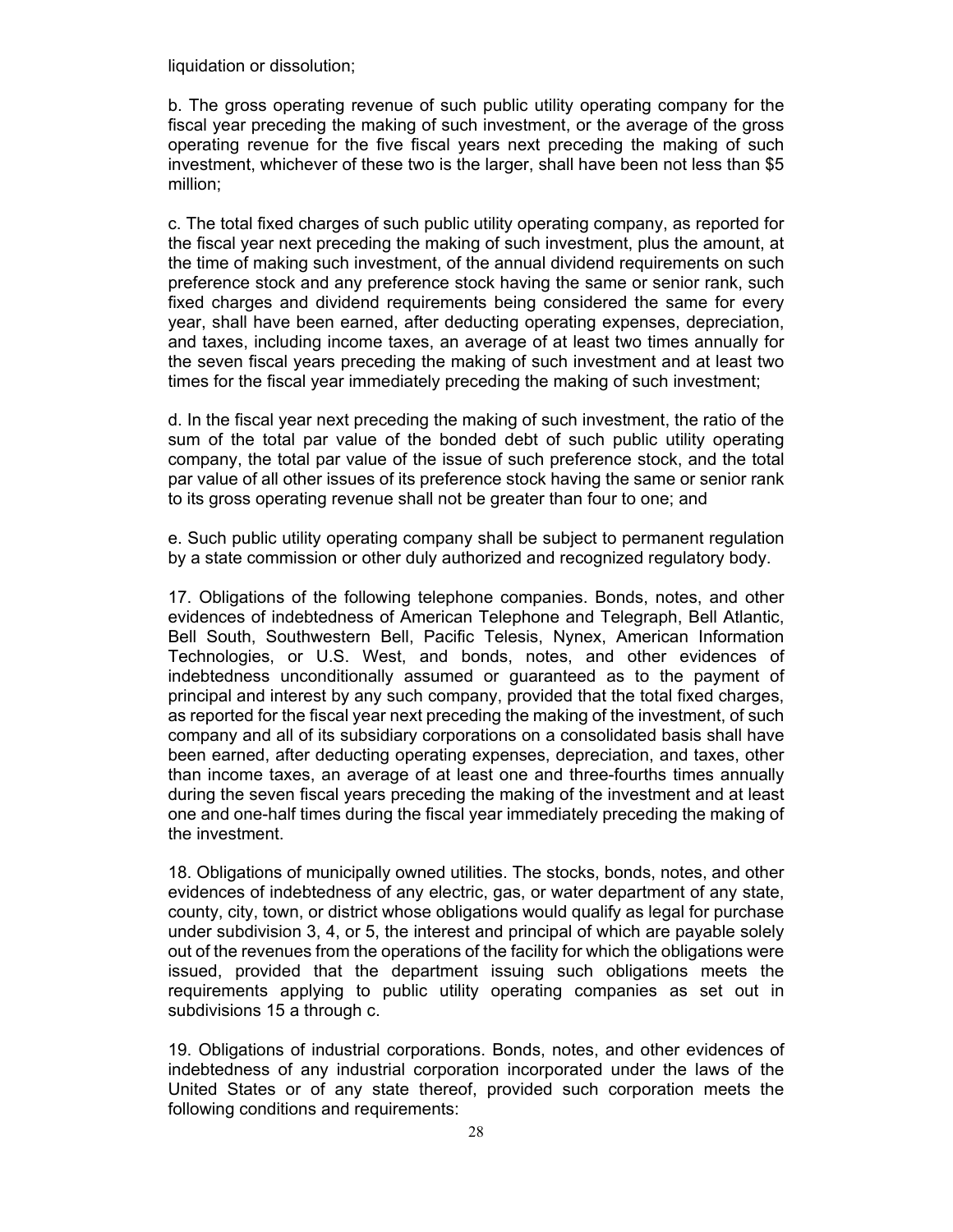liquidation or dissolution;

b. The gross operating revenue of such public utility operating company for the fiscal year preceding the making of such investment, or the average of the gross operating revenue for the five fiscal years next preceding the making of such investment, whichever of these two is the larger, shall have been not less than \$5 million;

c. The total fixed charges of such public utility operating company, as reported for the fiscal year next preceding the making of such investment, plus the amount, at the time of making such investment, of the annual dividend requirements on such preference stock and any preference stock having the same or senior rank, such fixed charges and dividend requirements being considered the same for every year, shall have been earned, after deducting operating expenses, depreciation, and taxes, including income taxes, an average of at least two times annually for the seven fiscal years preceding the making of such investment and at least two times for the fiscal year immediately preceding the making of such investment;

d. In the fiscal year next preceding the making of such investment, the ratio of the sum of the total par value of the bonded debt of such public utility operating company, the total par value of the issue of such preference stock, and the total par value of all other issues of its preference stock having the same or senior rank to its gross operating revenue shall not be greater than four to one; and

e. Such public utility operating company shall be subject to permanent regulation by a state commission or other duly authorized and recognized regulatory body.

17. Obligations of the following telephone companies. Bonds, notes, and other evidences of indebtedness of American Telephone and Telegraph, Bell Atlantic, Bell South, Southwestern Bell, Pacific Telesis, Nynex, American Information Technologies, or U.S. West, and bonds, notes, and other evidences of indebtedness unconditionally assumed or guaranteed as to the payment of principal and interest by any such company, provided that the total fixed charges, as reported for the fiscal year next preceding the making of the investment, of such company and all of its subsidiary corporations on a consolidated basis shall have been earned, after deducting operating expenses, depreciation, and taxes, other than income taxes, an average of at least one and three-fourths times annually during the seven fiscal years preceding the making of the investment and at least one and one-half times during the fiscal year immediately preceding the making of the investment.

18. Obligations of municipally owned utilities. The stocks, bonds, notes, and other evidences of indebtedness of any electric, gas, or water department of any state, county, city, town, or district whose obligations would qualify as legal for purchase under subdivision 3, 4, or 5, the interest and principal of which are payable solely out of the revenues from the operations of the facility for which the obligations were issued, provided that the department issuing such obligations meets the requirements applying to public utility operating companies as set out in subdivisions 15 a through c.

19. Obligations of industrial corporations. Bonds, notes, and other evidences of indebtedness of any industrial corporation incorporated under the laws of the United States or of any state thereof, provided such corporation meets the following conditions and requirements: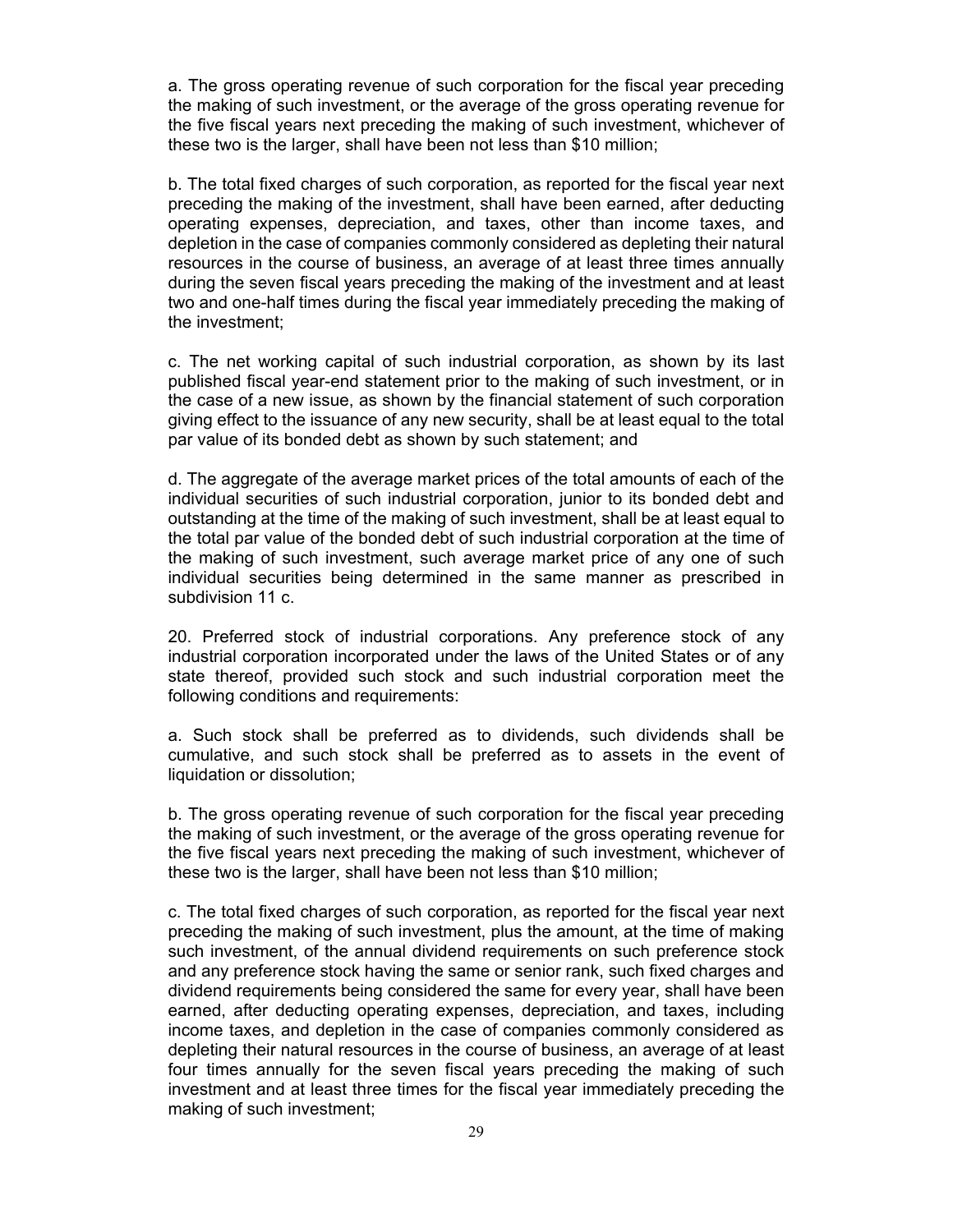a. The gross operating revenue of such corporation for the fiscal year preceding the making of such investment, or the average of the gross operating revenue for the five fiscal years next preceding the making of such investment, whichever of these two is the larger, shall have been not less than \$10 million;

b. The total fixed charges of such corporation, as reported for the fiscal year next preceding the making of the investment, shall have been earned, after deducting operating expenses, depreciation, and taxes, other than income taxes, and depletion in the case of companies commonly considered as depleting their natural resources in the course of business, an average of at least three times annually during the seven fiscal years preceding the making of the investment and at least two and one-half times during the fiscal year immediately preceding the making of the investment;

c. The net working capital of such industrial corporation, as shown by its last published fiscal year-end statement prior to the making of such investment, or in the case of a new issue, as shown by the financial statement of such corporation giving effect to the issuance of any new security, shall be at least equal to the total par value of its bonded debt as shown by such statement; and

d. The aggregate of the average market prices of the total amounts of each of the individual securities of such industrial corporation, junior to its bonded debt and outstanding at the time of the making of such investment, shall be at least equal to the total par value of the bonded debt of such industrial corporation at the time of the making of such investment, such average market price of any one of such individual securities being determined in the same manner as prescribed in subdivision 11 c.

20. Preferred stock of industrial corporations. Any preference stock of any industrial corporation incorporated under the laws of the United States or of any state thereof, provided such stock and such industrial corporation meet the following conditions and requirements:

a. Such stock shall be preferred as to dividends, such dividends shall be cumulative, and such stock shall be preferred as to assets in the event of liquidation or dissolution;

b. The gross operating revenue of such corporation for the fiscal year preceding the making of such investment, or the average of the gross operating revenue for the five fiscal years next preceding the making of such investment, whichever of these two is the larger, shall have been not less than \$10 million;

c. The total fixed charges of such corporation, as reported for the fiscal year next preceding the making of such investment, plus the amount, at the time of making such investment, of the annual dividend requirements on such preference stock and any preference stock having the same or senior rank, such fixed charges and dividend requirements being considered the same for every year, shall have been earned, after deducting operating expenses, depreciation, and taxes, including income taxes, and depletion in the case of companies commonly considered as depleting their natural resources in the course of business, an average of at least four times annually for the seven fiscal years preceding the making of such investment and at least three times for the fiscal year immediately preceding the making of such investment;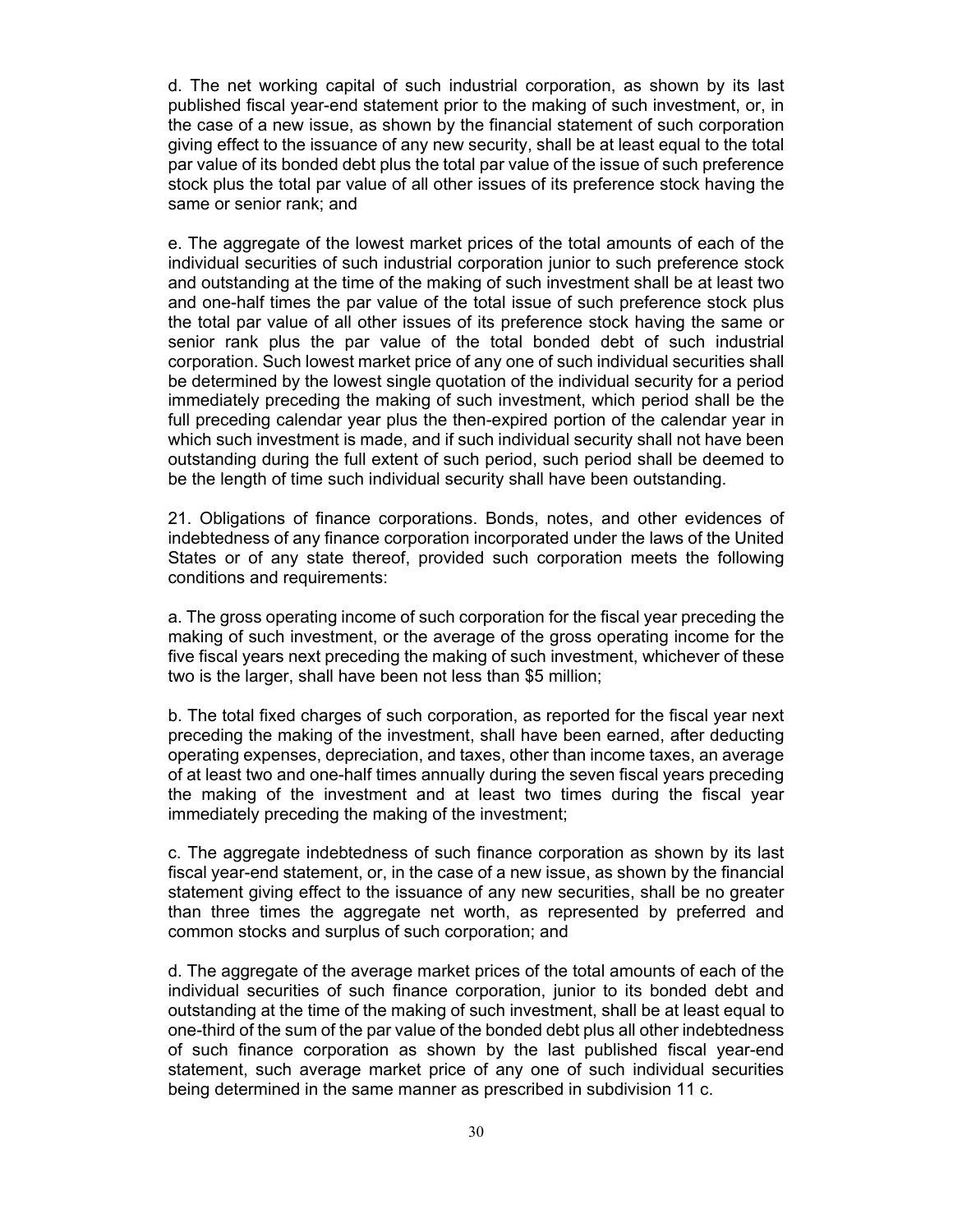d. The net working capital of such industrial corporation, as shown by its last published fiscal year-end statement prior to the making of such investment, or, in the case of a new issue, as shown by the financial statement of such corporation giving effect to the issuance of any new security, shall be at least equal to the total par value of its bonded debt plus the total par value of the issue of such preference stock plus the total par value of all other issues of its preference stock having the same or senior rank; and

e. The aggregate of the lowest market prices of the total amounts of each of the individual securities of such industrial corporation junior to such preference stock and outstanding at the time of the making of such investment shall be at least two and one-half times the par value of the total issue of such preference stock plus the total par value of all other issues of its preference stock having the same or senior rank plus the par value of the total bonded debt of such industrial corporation. Such lowest market price of any one of such individual securities shall be determined by the lowest single quotation of the individual security for a period immediately preceding the making of such investment, which period shall be the full preceding calendar year plus the then-expired portion of the calendar year in which such investment is made, and if such individual security shall not have been outstanding during the full extent of such period, such period shall be deemed to be the length of time such individual security shall have been outstanding.

21. Obligations of finance corporations. Bonds, notes, and other evidences of indebtedness of any finance corporation incorporated under the laws of the United States or of any state thereof, provided such corporation meets the following conditions and requirements:

a. The gross operating income of such corporation for the fiscal year preceding the making of such investment, or the average of the gross operating income for the five fiscal years next preceding the making of such investment, whichever of these two is the larger, shall have been not less than \$5 million;

b. The total fixed charges of such corporation, as reported for the fiscal year next preceding the making of the investment, shall have been earned, after deducting operating expenses, depreciation, and taxes, other than income taxes, an average of at least two and one-half times annually during the seven fiscal years preceding the making of the investment and at least two times during the fiscal year immediately preceding the making of the investment;

c. The aggregate indebtedness of such finance corporation as shown by its last fiscal year-end statement, or, in the case of a new issue, as shown by the financial statement giving effect to the issuance of any new securities, shall be no greater than three times the aggregate net worth, as represented by preferred and common stocks and surplus of such corporation; and

d. The aggregate of the average market prices of the total amounts of each of the individual securities of such finance corporation, junior to its bonded debt and outstanding at the time of the making of such investment, shall be at least equal to one-third of the sum of the par value of the bonded debt plus all other indebtedness of such finance corporation as shown by the last published fiscal year-end statement, such average market price of any one of such individual securities being determined in the same manner as prescribed in subdivision 11 c.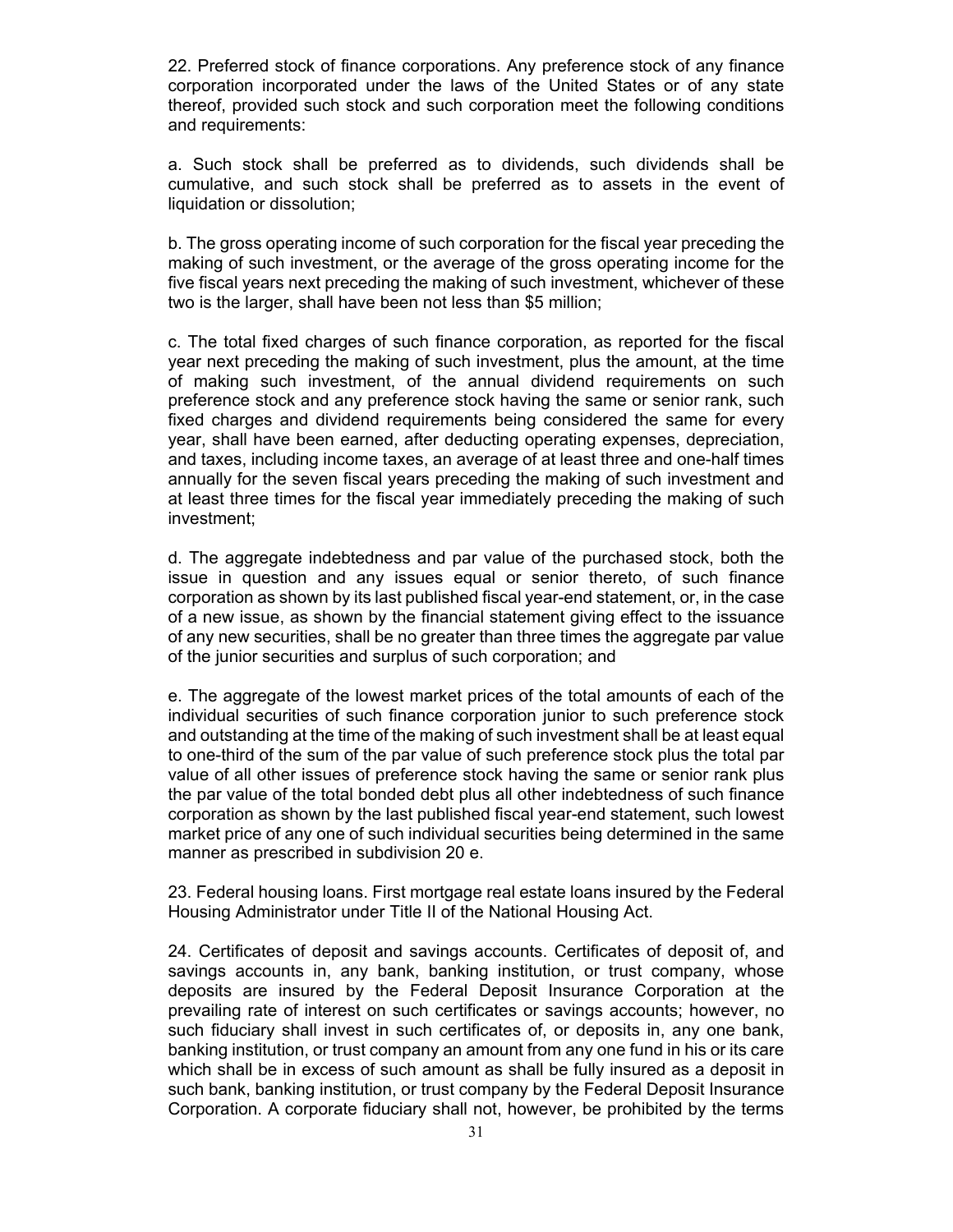22. Preferred stock of finance corporations. Any preference stock of any finance corporation incorporated under the laws of the United States or of any state thereof, provided such stock and such corporation meet the following conditions and requirements:

a. Such stock shall be preferred as to dividends, such dividends shall be cumulative, and such stock shall be preferred as to assets in the event of liquidation or dissolution;

b. The gross operating income of such corporation for the fiscal year preceding the making of such investment, or the average of the gross operating income for the five fiscal years next preceding the making of such investment, whichever of these two is the larger, shall have been not less than \$5 million;

c. The total fixed charges of such finance corporation, as reported for the fiscal year next preceding the making of such investment, plus the amount, at the time of making such investment, of the annual dividend requirements on such preference stock and any preference stock having the same or senior rank, such fixed charges and dividend requirements being considered the same for every year, shall have been earned, after deducting operating expenses, depreciation, and taxes, including income taxes, an average of at least three and one-half times annually for the seven fiscal years preceding the making of such investment and at least three times for the fiscal year immediately preceding the making of such investment;

d. The aggregate indebtedness and par value of the purchased stock, both the issue in question and any issues equal or senior thereto, of such finance corporation as shown by its last published fiscal year-end statement, or, in the case of a new issue, as shown by the financial statement giving effect to the issuance of any new securities, shall be no greater than three times the aggregate par value of the junior securities and surplus of such corporation; and

e. The aggregate of the lowest market prices of the total amounts of each of the individual securities of such finance corporation junior to such preference stock and outstanding at the time of the making of such investment shall be at least equal to one-third of the sum of the par value of such preference stock plus the total par value of all other issues of preference stock having the same or senior rank plus the par value of the total bonded debt plus all other indebtedness of such finance corporation as shown by the last published fiscal year-end statement, such lowest market price of any one of such individual securities being determined in the same manner as prescribed in subdivision 20 e.

23. Federal housing loans. First mortgage real estate loans insured by the Federal Housing Administrator under Title II of the National Housing Act.

24. Certificates of deposit and savings accounts. Certificates of deposit of, and savings accounts in, any bank, banking institution, or trust company, whose deposits are insured by the Federal Deposit Insurance Corporation at the prevailing rate of interest on such certificates or savings accounts; however, no such fiduciary shall invest in such certificates of, or deposits in, any one bank, banking institution, or trust company an amount from any one fund in his or its care which shall be in excess of such amount as shall be fully insured as a deposit in such bank, banking institution, or trust company by the Federal Deposit Insurance Corporation. A corporate fiduciary shall not, however, be prohibited by the terms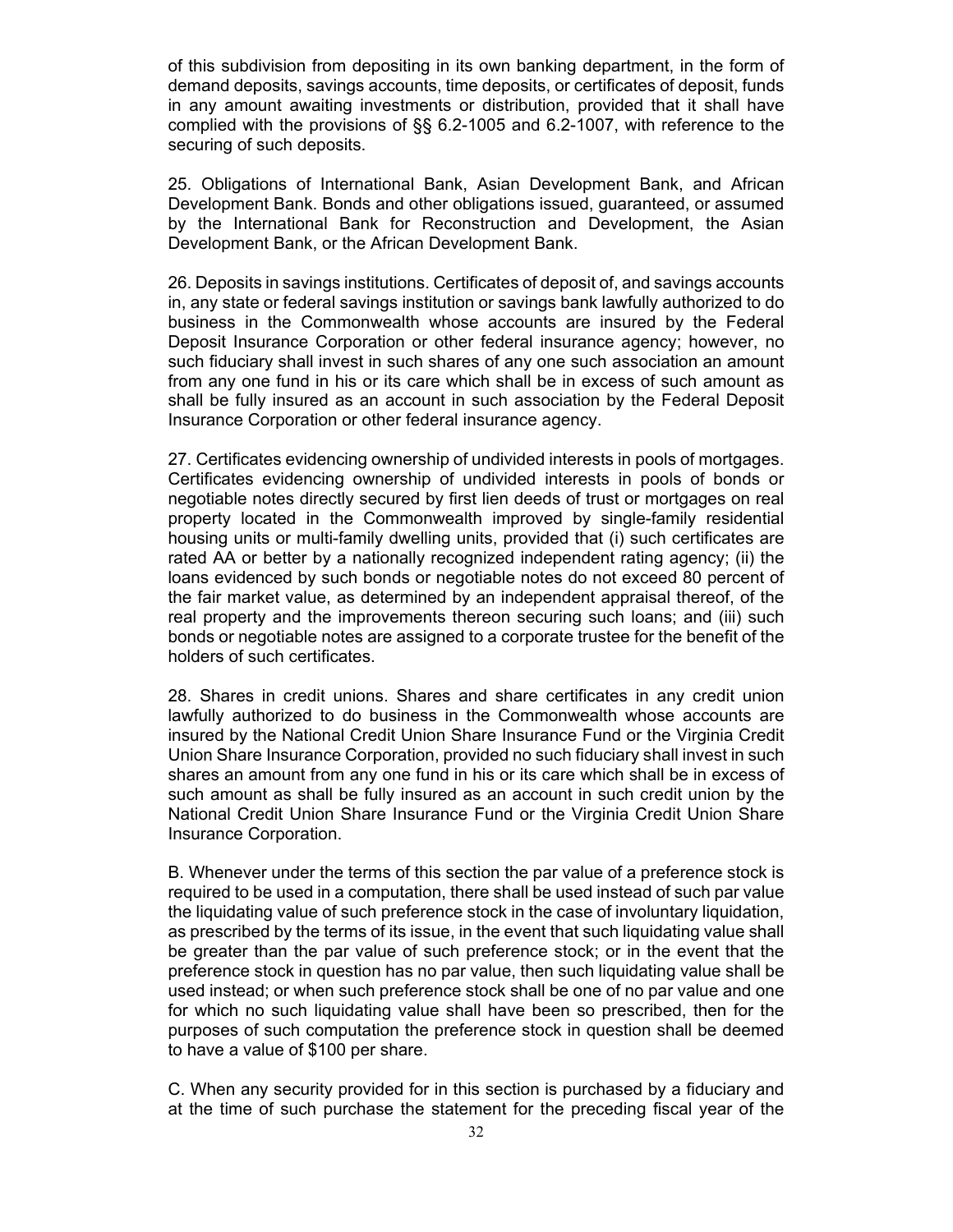of this subdivision from depositing in its own banking department, in the form of demand deposits, savings accounts, time deposits, or certificates of deposit, funds in any amount awaiting investments or distribution, provided that it shall have complied with the provisions of §§ 6.2-1005 and 6.2-1007, with reference to the securing of such deposits.

25. Obligations of International Bank, Asian Development Bank, and African Development Bank. Bonds and other obligations issued, guaranteed, or assumed by the International Bank for Reconstruction and Development, the Asian Development Bank, or the African Development Bank.

26. Deposits in savings institutions. Certificates of deposit of, and savings accounts in, any state or federal savings institution or savings bank lawfully authorized to do business in the Commonwealth whose accounts are insured by the Federal Deposit Insurance Corporation or other federal insurance agency; however, no such fiduciary shall invest in such shares of any one such association an amount from any one fund in his or its care which shall be in excess of such amount as shall be fully insured as an account in such association by the Federal Deposit Insurance Corporation or other federal insurance agency.

27. Certificates evidencing ownership of undivided interests in pools of mortgages. Certificates evidencing ownership of undivided interests in pools of bonds or negotiable notes directly secured by first lien deeds of trust or mortgages on real property located in the Commonwealth improved by single-family residential housing units or multi-family dwelling units, provided that (i) such certificates are rated AA or better by a nationally recognized independent rating agency; (ii) the loans evidenced by such bonds or negotiable notes do not exceed 80 percent of the fair market value, as determined by an independent appraisal thereof, of the real property and the improvements thereon securing such loans; and (iii) such bonds or negotiable notes are assigned to a corporate trustee for the benefit of the holders of such certificates.

28. Shares in credit unions. Shares and share certificates in any credit union lawfully authorized to do business in the Commonwealth whose accounts are insured by the National Credit Union Share Insurance Fund or the Virginia Credit Union Share Insurance Corporation, provided no such fiduciary shall invest in such shares an amount from any one fund in his or its care which shall be in excess of such amount as shall be fully insured as an account in such credit union by the National Credit Union Share Insurance Fund or the Virginia Credit Union Share Insurance Corporation.

B. Whenever under the terms of this section the par value of a preference stock is required to be used in a computation, there shall be used instead of such par value the liquidating value of such preference stock in the case of involuntary liquidation, as prescribed by the terms of its issue, in the event that such liquidating value shall be greater than the par value of such preference stock; or in the event that the preference stock in question has no par value, then such liquidating value shall be used instead; or when such preference stock shall be one of no par value and one for which no such liquidating value shall have been so prescribed, then for the purposes of such computation the preference stock in question shall be deemed to have a value of \$100 per share.

C. When any security provided for in this section is purchased by a fiduciary and at the time of such purchase the statement for the preceding fiscal year of the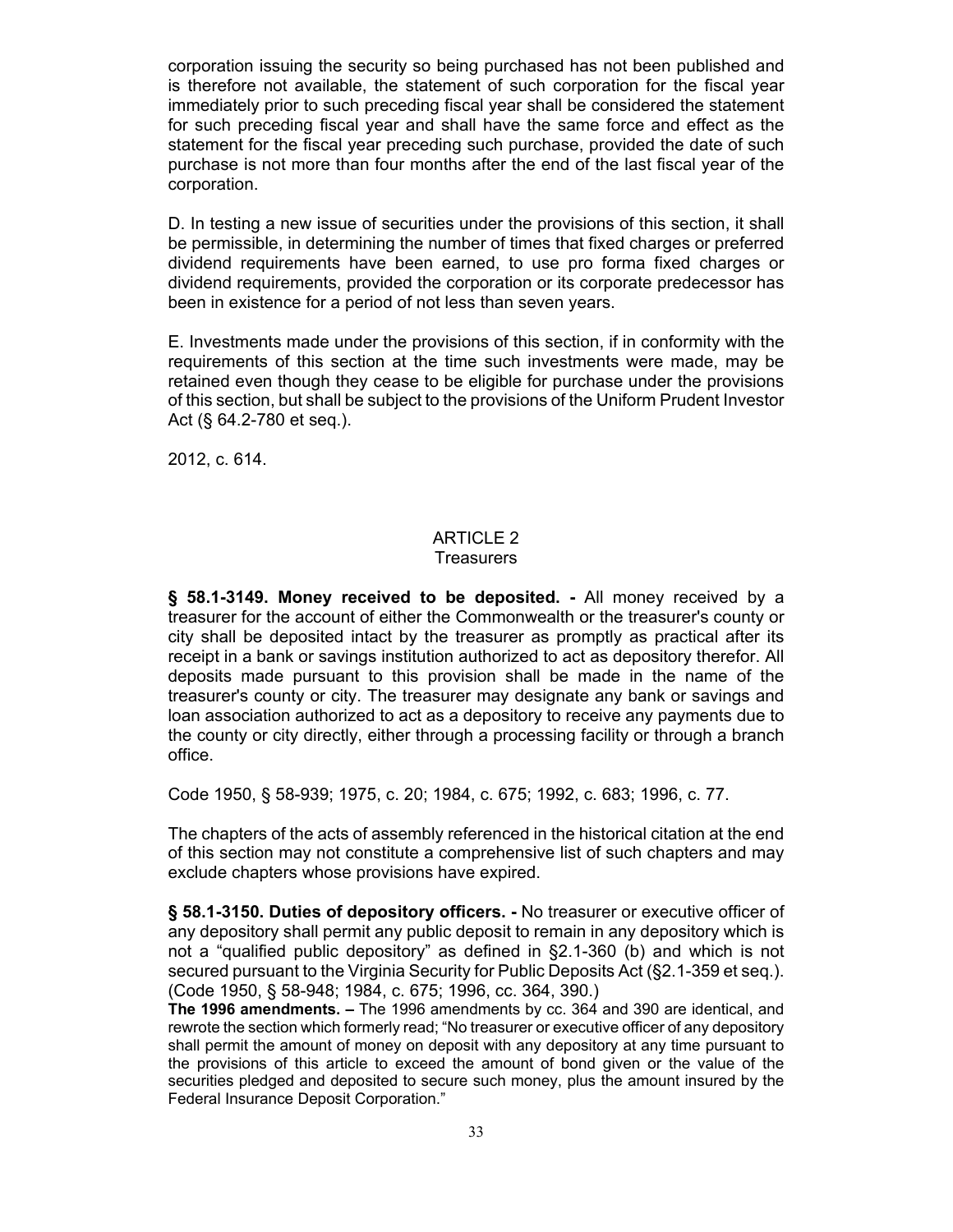corporation issuing the security so being purchased has not been published and is therefore not available, the statement of such corporation for the fiscal year immediately prior to such preceding fiscal year shall be considered the statement for such preceding fiscal year and shall have the same force and effect as the statement for the fiscal year preceding such purchase, provided the date of such purchase is not more than four months after the end of the last fiscal year of the corporation.

D. In testing a new issue of securities under the provisions of this section, it shall be permissible, in determining the number of times that fixed charges or preferred dividend requirements have been earned, to use pro forma fixed charges or dividend requirements, provided the corporation or its corporate predecessor has been in existence for a period of not less than seven years.

E. Investments made under the provisions of this section, if in conformity with the requirements of this section at the time such investments were made, may be retained even though they cease to be eligible for purchase under the provisions of this section, but shall be subject to the provisions of the Uniform Prudent Investor Act (§ 64.2-780 et seq.).

2012, c. 614.

#### ARTICLE 2 **Treasurers**

**§ 58.1-3149. Money received to be deposited. -** All money received by a treasurer for the account of either the Commonwealth or the treasurer's county or city shall be deposited intact by the treasurer as promptly as practical after its receipt in a bank or savings institution authorized to act as depository therefor. All deposits made pursuant to this provision shall be made in the name of the treasurer's county or city. The treasurer may designate any bank or savings and loan association authorized to act as a depository to receive any payments due to the county or city directly, either through a processing facility or through a branch office.

Code 1950, § 58-939; 1975, c. 20; 1984, c. 675; 1992, c. 683; 1996, c. 77.

The chapters of the acts of assembly referenced in the historical citation at the end of this section may not constitute a comprehensive list of such chapters and may exclude chapters whose provisions have expired.

**§ 58.1-3150. Duties of depository officers. -** No treasurer or executive officer of any depository shall permit any public deposit to remain in any depository which is not a "qualified public depository" as defined in §2.1-360 (b) and which is not secured pursuant to the Virginia Security for Public Deposits Act (§2.1-359 et seq.). (Code 1950, § 58-948; 1984, c. 675; 1996, cc. 364, 390.)

**The 1996 amendments. –** The 1996 amendments by cc. 364 and 390 are identical, and rewrote the section which formerly read; "No treasurer or executive officer of any depository shall permit the amount of money on deposit with any depository at any time pursuant to the provisions of this article to exceed the amount of bond given or the value of the securities pledged and deposited to secure such money, plus the amount insured by the Federal Insurance Deposit Corporation."